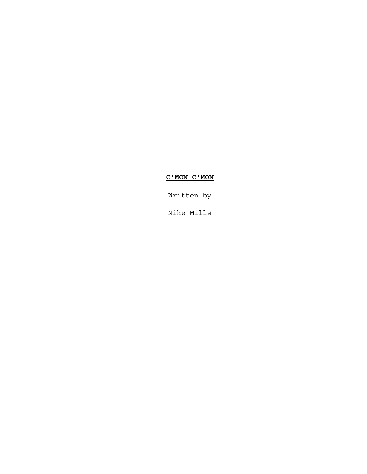# **C'MON C'MON**

Written by

Mike Mills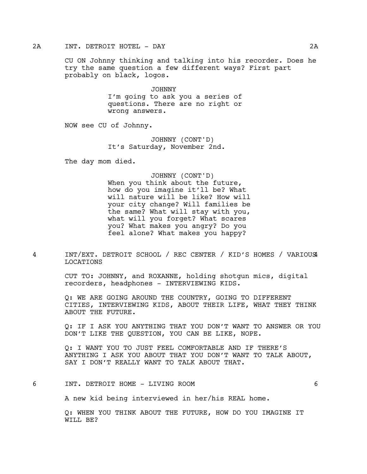#### 2A INT. DETROIT HOTEL - DAY 2A

CU ON Johnny thinking and talking into his recorder. Does he try the same question a few different ways? First part probably on black, logos.

> JOHNNY I'm going to ask you a series of questions. There are no right or wrong answers.

NOW see CU of Johnny.

JOHNNY (CONT'D) It's Saturday, November 2nd.

The day mom died.

#### JOHNNY (CONT'D)

When you think about the future, how do you imagine it'll be? What will nature will be like? How will your city change? Will families be the same? What will stay with you, what will you forget? What scares you? What makes you angry? Do you feel alone? What makes you happy?

4 INT/EXT. DETROIT SCHOOL / REC CENTER / KID'S HOMES / VARIOUS 4 LOCATIONS

> CUT TO: JOHNNY, and ROXANNE, holding shotgun mics, digital recorders, headphones - INTERVIEWING KIDS.

Q: WE ARE GOING AROUND THE COUNTRY, GOING TO DIFFERENT CITIES, INTERVIEWING KIDS, ABOUT THEIR LIFE, WHAT THEY THINK ABOUT THE FUTURE.

Q: IF I ASK YOU ANYTHING THAT YOU DON'T WANT TO ANSWER OR YOU DON'T LIKE THE QUESTION, YOU CAN BE LIKE, NOPE.

Q: I WANT YOU TO JUST FEEL COMFORTABLE AND IF THERE'S ANYTHING I ASK YOU ABOUT THAT YOU DON'T WANT TO TALK ABOUT, SAY I DON'T REALLY WANT TO TALK ABOUT THAT.

6 INT. DETROIT HOME - LIVING ROOM 6

A new kid being interviewed in her/his REAL home.

Q: WHEN YOU THINK ABOUT THE FUTURE, HOW DO YOU IMAGINE IT WILL BE?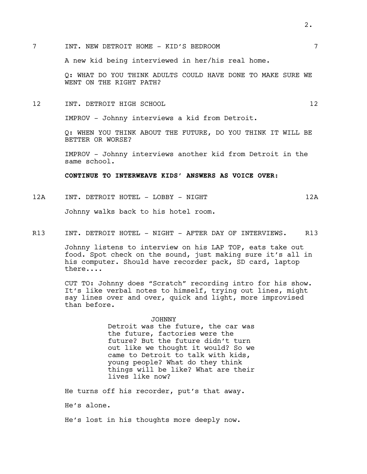A new kid being interviewed in her/his real home.

Q: WHAT DO YOU THINK ADULTS COULD HAVE DONE TO MAKE SURE WE WENT ON THE RIGHT PATH?

12 INT. DETROIT HIGH SCHOOL 12

IMPROV - Johnny interviews a kid from Detroit.

Q: WHEN YOU THINK ABOUT THE FUTURE, DO YOU THINK IT WILL BE BETTER OR WORSE?

IMPROV - Johnny interviews another kid from Detroit in the same school.

**CONTINUE TO INTERWEAVE KIDS' ANSWERS AS VOICE OVER:**

12A INT. DETROIT HOTEL - LOBBY - NIGHT 12A 12A

Johnny walks back to his hotel room.

R13 INT. DETROIT HOTEL - NIGHT - AFTER DAY OF INTERVIEWS. R13

Johnny listens to interview on his LAP TOP, eats take out food. Spot check on the sound, just making sure it's all in his computer. Should have recorder pack, SD card, laptop there....

CUT TO: Johnny does "Scratch" recording intro for his show. It's like verbal notes to himself, trying out lines, might say lines over and over, quick and light, more improvised than before.

> JOHNNY Detroit was the future, the car was the future, factories were the future? But the future didn't turn out like we thought it would? So we came to Detroit to talk with kids, young people? What do they think things will be like? What are their

He turns off his recorder, put's that away. He's alone.

lives like now?

He's lost in his thoughts more deeply now.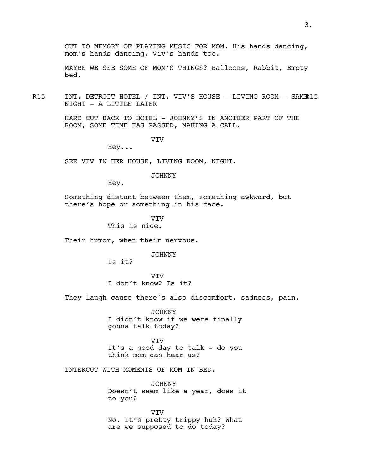MAYBE WE SEE SOME OF MOM'S THINGS? Balloons, Rabbit, Empty bed.

R15 INT. DETROIT HOTEL / INT. VIV'S HOUSE - LIVING ROOM - SAMER15 NIGHT - A LITTLE LATER

> HARD CUT BACK TO HOTEL - JOHNNY'S IN ANOTHER PART OF THE ROOM, SOME TIME HAS PASSED, MAKING A CALL.

> > VIV

Hey...

SEE VIV IN HER HOUSE, LIVING ROOM, NIGHT.

JOHNNY

Hey.

Something distant between them, something awkward, but there's hope or something in his face.

> **VTV** This is nice.

Their humor, when their nervous.

JOHNNY

Is it?

VIV I don't know? Is it?

They laugh cause there's also discomfort, sadness, pain.

JOHNNY I didn't know if we were finally gonna talk today?

VIV It's a good day to talk - do you think mom can hear us?

INTERCUT WITH MOMENTS OF MOM IN BED.

JOHNNY Doesn't seem like a year, does it to you?

VIV No. It's pretty trippy huh? What are we supposed to do today?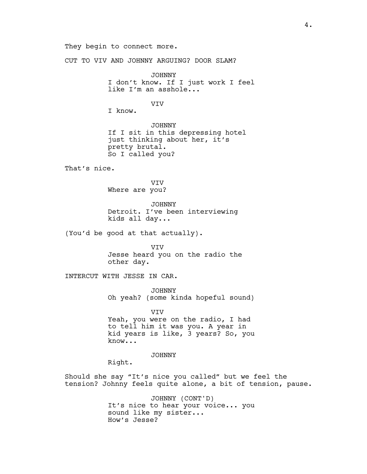They begin to connect more.

CUT TO VIV AND JOHNNY ARGUING? DOOR SLAM?

JOHNNY I don't know. If I just work I feel like I'm an asshole...

VIV

I know.

JOHNNY If I sit in this depressing hotel just thinking about her, it's pretty brutal. So I called you?

That's nice.

VIV Where are you?

JOHNNY Detroit. I've been interviewing kids all day...

(You'd be good at that actually).

VIV Jesse heard you on the radio the other day.

INTERCUT WITH JESSE IN CAR.

JOHNNY Oh yeah? (some kinda hopeful sound)

VIV Yeah, you were on the radio, I had to tell him it was you. A year in kid years is like, 3 years? So, you know...

JOHNNY

Right.

Should she say "It's nice you called" but we feel the tension? Johnny feels quite alone, a bit of tension, pause.

> JOHNNY (CONT'D) It's nice to hear your voice... you sound like my sister... How's Jesse?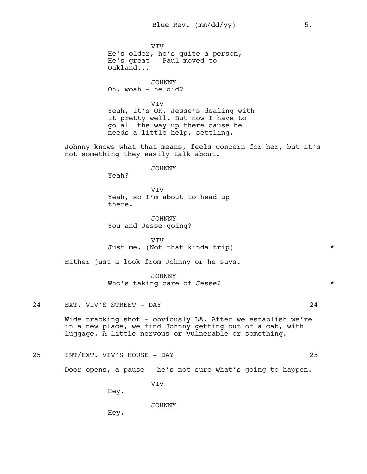VIV He's older, he's quite a person, He's great - Paul moved to Oakland...

JOHNNY Oh, woah - he did?

VIV Yeah, It's OK, Jesse's dealing with it pretty well. But now I have to go all the way up there cause he needs a little help, settling.

Johnny knows what that means, feels concern for her, but it's not something they easily talk about.

JOHNNY

Yeah?

VIV Yeah, so I'm about to head up there.

JOHNNY You and Jesse going?

VIV Just me. (Not that kinda trip)  $*$ 

Either just a look from Johnny or he says.

JOHNNY Who's taking care of Jesse? \*

24 EXT. VIV'S STREET - DAY 24

Wide tracking shot - obviously LA. After we establish we're in a new place, we find Johnny getting out of a cab, with luggage. A little nervous or vulnerable or something.

25 INT/EXT. VIV'S HOUSE - DAY 25

Door opens, a pause - he's not sure what's going to happen.

VIV

Hey.

JOHNNY

Hey.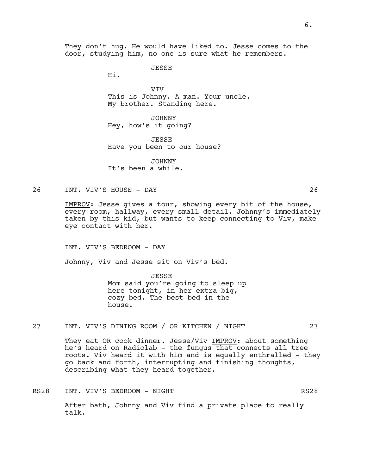They don't hug. He would have liked to. Jesse comes to the door, studying him, no one is sure what he remembers.

JESSE

Hi.

VIV This is Johnny. A man. Your uncle. My brother. Standing here.

JOHNNY Hey, how's it going?

**JESSE** Have you been to our house?

JOHNNY It's been a while.

26 INT. VIV'S HOUSE - DAY 26

IMPROV: Jesse gives a tour, showing every bit of the house, every room, hallway, every small detail. Johnny's immediately taken by this kid, but wants to keep connecting to Viv, make eye contact with her.

INT. VIV'S BEDROOM - DAY

Johnny, Viv and Jesse sit on Viv's bed.

JESSE Mom said you're going to sleep up here tonight, in her extra big, cozy bed. The best bed in the house.

27 INT. VIV'S DINING ROOM / OR KITCHEN / NIGHT 27

They eat OR cook dinner. Jesse/Viv IMPROV: about something he's heard on Radiolab - the fungus that connects all tree roots. Viv heard it with him and is equally enthralled - they go back and forth, interrupting and finishing thoughts, describing what they heard together.

RS28 INT. VIV'S BEDROOM - NIGHT RS28 RS28 After bath, Johnny and Viv find a private place to really talk.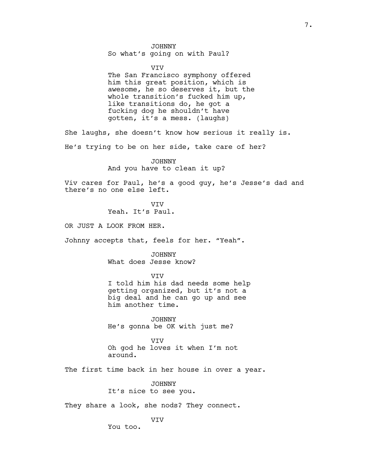#### JOHNNY

So what's going on with Paul?

#### VIV

The San Francisco symphony offered him this great position, which is awesome, he so deserves it, but the whole transition's fucked him up, like transitions do, he got a fucking dog he shouldn't have gotten, it's a mess. (laughs)

She laughs, she doesn't know how serious it really is.

He's trying to be on her side, take care of her?

JOHNNY And you have to clean it up?

Viv cares for Paul, he's a good guy, he's Jesse's dad and there's no one else left.

> **VTV** Yeah. It's Paul.

OR JUST A LOOK FROM HER.

Johnny accepts that, feels for her. "Yeah".

JOHNNY What does Jesse know?

VIV

I told him his dad needs some help getting organized, but it's not a big deal and he can go up and see him another time.

JOHNNY He's gonna be OK with just me?

**VTV** Oh god he loves it when I'm not around.

The first time back in her house in over a year.

JOHNNY It's nice to see you.

They share a look, she nods? They connect.

VIV

You too.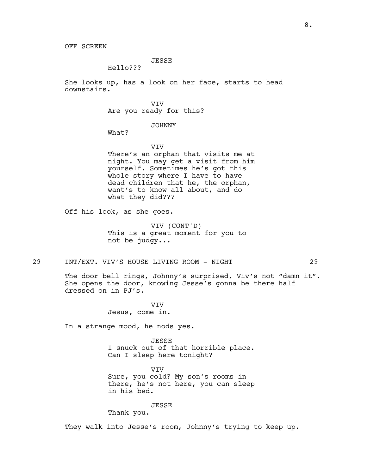## JESSE

Hello???

She looks up, has a look on her face, starts to head downstairs.

> VIV Are you ready for this?

### JOHNNY

What?

VIV

There's an orphan that visits me at night. You may get a visit from him yourself. Sometimes he's got this whole story where I have to have dead children that he, the orphan, want's to know all about, and do what they did???

Off his look, as she goes.

VIV (CONT'D) This is a great moment for you to not be judgy...

29 INT/EXT. VIV'S HOUSE LIVING ROOM - NIGHT 29

The door bell rings, Johnny's surprised, Viv's not "damn it". She opens the door, knowing Jesse's gonna be there half dressed on in PJ's.

> VIV Jesus, come in.

In a strange mood, he nods yes.

JESSE I snuck out of that horrible place. Can I sleep here tonight?

VIV Sure, you cold? My son's rooms in there, he's not here, you can sleep in his bed.

JESSE

Thank you.

They walk into Jesse's room, Johnny's trying to keep up.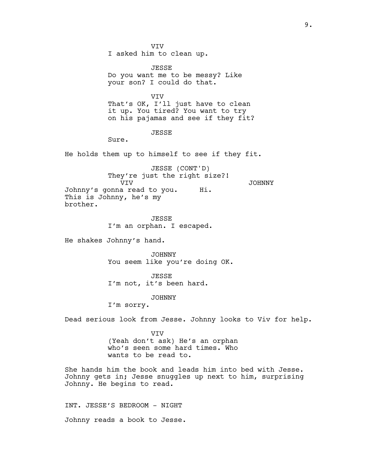VIV I asked him to clean up.

JESSE Do you want me to be messy? Like your son? I could do that.

VIV That's OK, I'll just have to clean it up. You tired? You want to try on his pajamas and see if they fit?

#### JESSE

Sure.

He holds them up to himself to see if they fit.

JESSE (CONT'D) They're just the right size?! VIV Johnny's gonna read to you. This is Johnny, he's my brother. JOHNNY Hi.

> JESSE I'm an orphan. I escaped.

He shakes Johnny's hand.

JOHNNY You seem like you're doing OK.

JESSE I'm not, it's been hard.

#### JOHNNY

I'm sorry.

Dead serious look from Jesse. Johnny looks to Viv for help.

VIV (Yeah don't ask) He's an orphan who's seen some hard times. Who wants to be read to.

She hands him the book and leads him into bed with Jesse. Johnny gets in; Jesse snuggles up next to him, surprising Johnny. He begins to read.

INT. JESSE'S BEDROOM - NIGHT Johnny reads a book to Jesse.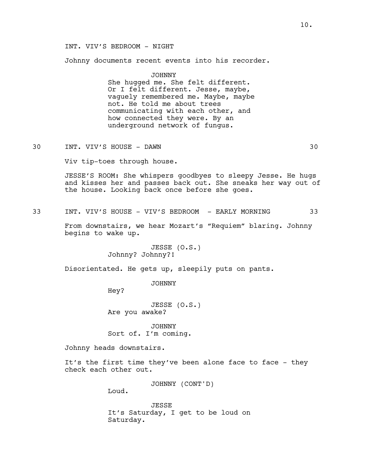## INT. VIV'S BEDROOM - NIGHT

Johnny documents recent events into his recorder.

JOHNNY She hugged me. She felt different. Or I felt different. Jesse, maybe, vaguely remembered me. Maybe, maybe not. He told me about trees communicating with each other, and how connected they were. By an underground network of fungus.

30 INT. VIV'S HOUSE - DAWN 30

Viv tip-toes through house.

JESSE'S ROOM: She whispers goodbyes to sleepy Jesse. He hugs and kisses her and passes back out. She sneaks her way out of the house. Looking back once before she goes.

33 INT. VIV'S HOUSE - VIV'S BEDROOM - EARLY MORNING 33

From downstairs, we hear Mozart's "Requiem" blaring. Johnny begins to wake up.

> JESSE (O.S.) Johnny? Johnny?!

Disorientated. He gets up, sleepily puts on pants.

JOHNNY

Hey?

JESSE (O.S.) Are you awake?

JOHNNY Sort of. I'm coming.

Johnny heads downstairs.

It's the first time they've been alone face to face - they check each other out.

JOHNNY (CONT'D)

Loud.

JESSE It's Saturday, I get to be loud on Saturday.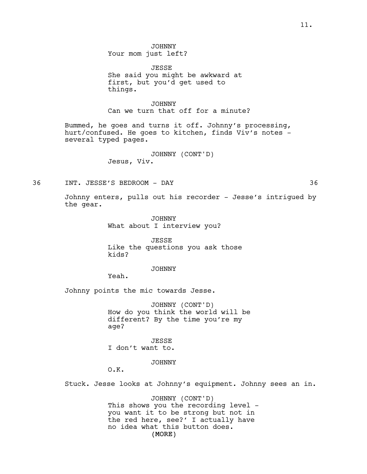JOHNNY Your mom just left?

JESSE She said you might be awkward at first, but you'd get used to things.

JOHNNY Can we turn that off for a minute?

Bummed, he goes and turns it off. Johnny's processing, hurt/confused. He goes to kitchen, finds Viv's notes several typed pages.

> JOHNNY (CONT'D) Jesus, Viv.

36 INT. JESSE'S BEDROOM - DAY 36

Johnny enters, pulls out his recorder - Jesse's intrigued by the gear.

> JOHNNY What about I interview you?

JESSE Like the questions you ask those kids?

#### JOHNNY

Yeah.

Johnny points the mic towards Jesse.

JOHNNY (CONT'D) How do you think the world will be different? By the time you're my age?

**JESSE** I don't want to.

JOHNNY

O.K.

Stuck. Jesse looks at Johnny's equipment. Johnny sees an in.

(MORE) JOHNNY (CONT'D) This shows you the recording level you want it to be strong but not in the red here, see?' I actually have no idea what this button does.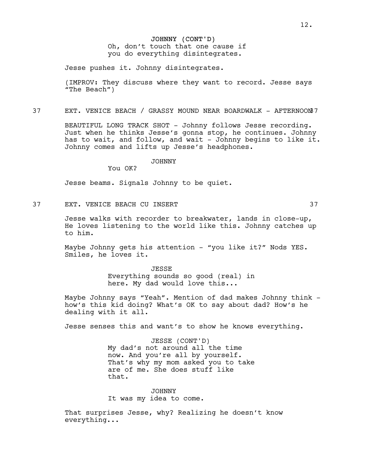Jesse pushes it. Johnny disintegrates.

(IMPROV: They discuss where they want to record. Jesse says "The Beach")

37 EXT. VENICE BEACH / GRASSY MOUND NEAR BOARDWALK - AFTERNOON37

BEAUTIFUL LONG TRACK SHOT - Johnny follows Jesse recording. Just when he thinks Jesse's gonna stop, he continues. Johnny has to wait, and follow, and wait - Johnny begins to like it. Johnny comes and lifts up Jesse's headphones.

### JOHNNY

You OK?

Jesse beams. Signals Johnny to be quiet.

37 EXT. VENICE BEACH CU INSERT 37

Jesse walks with recorder to breakwater, lands in close-up, He loves listening to the world like this. Johnny catches up to him.

Maybe Johnny gets his attention - "you like it?" Nods YES. Smiles, he loves it.

> JESSE Everything sounds so good (real) in here. My dad would love this...

Maybe Johnny says "Yeah". Mention of dad makes Johnny think how's this kid doing? What's OK to say about dad? How's he dealing with it all.

Jesse senses this and want's to show he knows everything.

JESSE (CONT'D) My dad's not around all the time now. And you're all by yourself. That's why my mom asked you to take are of me. She does stuff like that.

JOHNNY It was my idea to come.

That surprises Jesse, why? Realizing he doesn't know everything...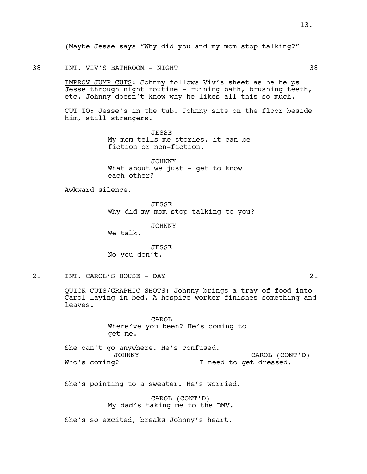(Maybe Jesse says "Why did you and my mom stop talking?"

#### 38 INT. VIV'S BATHROOM - NIGHT 38

IMPROV JUMP CUTS: Johnny follows Viv's sheet as he helps Jesse through night routine - running bath, brushing teeth, etc. Johnny doesn't know why he likes all this so much.

CUT TO: Jesse's in the tub. Johnny sits on the floor beside him, still strangers.

> JESSE My mom tells me stories, it can be fiction or non-fiction.

JOHNNY What about we just - get to know each other?

Awkward silence.

JESSE Why did my mom stop talking to you?

JOHNNY

We talk.

JESSE No you don't.

21 INT. CAROL'S HOUSE - DAY 21

QUICK CUTS/GRAPHIC SHOTS: Johnny brings a tray of food into Carol laying in bed. A hospice worker finishes something and leaves.

> CAROL Where've you been? He's coming to get me.

She can't go anywhere. He's confused. JOHNNY Who's coming? CAROL (CONT'D) I need to get dressed.

She's pointing to a sweater. He's worried.

CAROL (CONT'D) My dad's taking me to the DMV.

She's so excited, breaks Johnny's heart.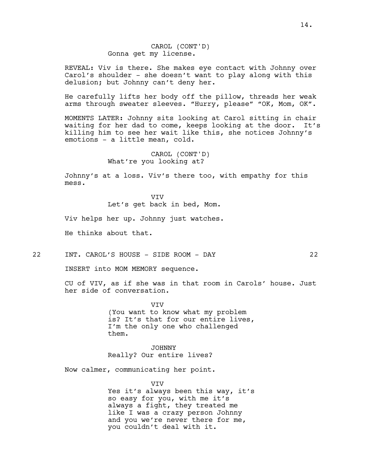CAROL (CONT'D) Gonna get my license.

REVEAL: Viv is there. She makes eye contact with Johnny over Carol's shoulder - she doesn't want to play along with this delusion; but Johnny can't deny her.

He carefully lifts her body off the pillow, threads her weak arms through sweater sleeves. "Hurry, please" "OK, Mom, OK".

MOMENTS LATER: Johnny sits looking at Carol sitting in chair waiting for her dad to come, keeps looking at the door. It's killing him to see her wait like this, she notices Johnny's emotions - a little mean, cold.

> CAROL (CONT'D) What're you looking at?

Johnny's at a loss. Viv's there too, with empathy for this mess.

> VIV Let's get back in bed, Mom.

Viv helps her up. Johnny just watches.

He thinks about that.

22 INT. CAROL'S HOUSE - SIDE ROOM - DAY 22

INSERT into MOM MEMORY sequence.

CU of VIV, as if she was in that room in Carols' house. Just her side of conversation.

> VIV (You want to know what my problem is? It's that for our entire lives, I'm the only one who challenged them.

JOHNNY Really? Our entire lives?

Now calmer, communicating her point.

VIV Yes it's always been this way, it's so easy for you, with me it's always a fight, they treated me like I was a crazy person Johnny and you we're never there for me, you couldn't deal with it.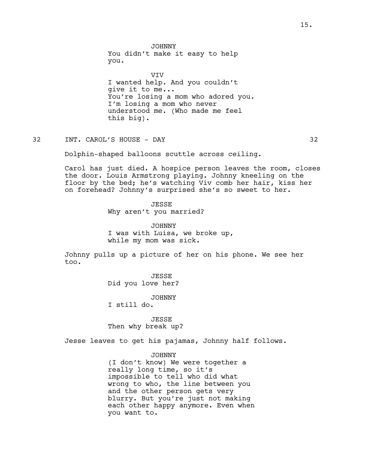JOHNNY You didn't make it easy to help you.

VIV I wanted help. And you couldn't give it to me... You're losing a mom who adored you. I'm losing a mom who never understood me. (Who made me feel this big).

32 INT. CAROL'S HOUSE - DAY 32

Dolphin-shaped balloons scuttle across ceiling.

Carol has just died. A hospice person leaves the room, closes the door. Louis Armstrong playing. Johnny kneeling on the floor by the bed; he's watching Viv comb her hair, kiss her on forehead? Johnny's surprised she's so sweet to her.

> **JESSE** Why aren't you married?

JOHNNY I was with Luisa, we broke up, while my mom was sick.

Johnny pulls up a picture of her on his phone. We see her too.

> JESSE Did you love her?

> > JOHNNY

I still do.

JESSE

Then why break up?

Jesse leaves to get his pajamas, Johnny half follows.

JOHNNY

(I don't know) We were together a really long time, so it's impossible to tell who did what wrong to who, the line between you and the other person gets very blurry. But you're just not making each other happy anymore. Even when you want to.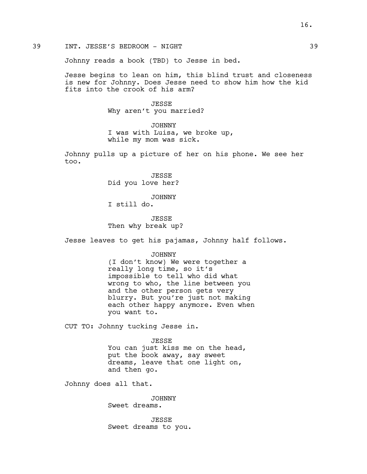Johnny reads a book (TBD) to Jesse in bed.

Jesse begins to lean on him, this blind trust and closeness is new for Johnny. Does Jesse need to show him how the kid fits into the crook of his arm?

> JESSE Why aren't you married?

JOHNNY I was with Luisa, we broke up, while my mom was sick.

Johnny pulls up a picture of her on his phone. We see her too.

> JESSE Did you love her?

JOHNNY I still do.

**JESSE** Then why break up?

Jesse leaves to get his pajamas, Johnny half follows.

JOHNNY

(I don't know) We were together a really long time, so it's impossible to tell who did what wrong to who, the line between you and the other person gets very blurry. But you're just not making each other happy anymore. Even when you want to.

CUT TO: Johnny tucking Jesse in.

JESSE

You can just kiss me on the head, put the book away, say sweet dreams, leave that one light on, and then go.

Johnny does all that.

JOHNNY Sweet dreams.

JESSE Sweet dreams to you.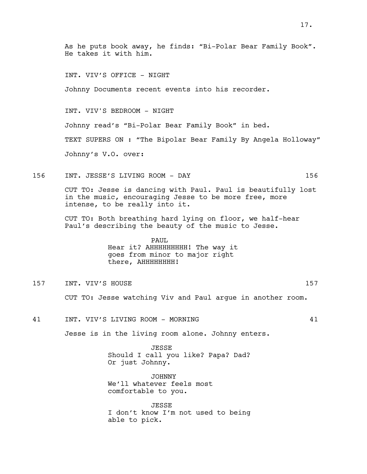As he puts book away, he finds: "Bi-Polar Bear Family Book". He takes it with him. INT. VIV'S OFFICE - NIGHT Johnny Documents recent events into his recorder. INT. VIV'S BEDROOM - NIGHT Johnny read's "Bi-Polar Bear Family Book" in bed. TEXT SUPERS ON : "The Bipolar Bear Family By Angela Holloway" Johnny's V.O. over: 156 INT. JESSE'S LIVING ROOM - DAY 156 CUT TO: Jesse is dancing with Paul. Paul is beautifully lost in the music, encouraging Jesse to be more free, more intense, to be really into it. CUT TO: Both breathing hard lying on floor, we half-hear Paul's describing the beauty of the music to Jesse. PAUL Hear it? AHHHHHHHHH! The way it goes from minor to major right there, AHHHHHHHH! 157 INT. VIV'S HOUSE 25 AU 157 CUT TO: Jesse watching Viv and Paul argue in another room. 41 INT. VIV'S LIVING ROOM - MORNING 41 Jesse is in the living room alone. Johnny enters. **JESSE** Should I call you like? Papa? Dad? Or just Johnny. JOHNNY We'll whatever feels most comfortable to you. JESSE I don't know I'm not used to being able to pick.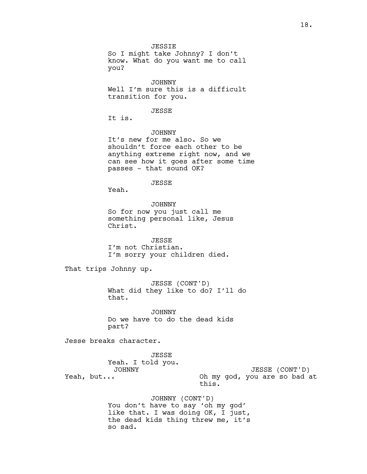JESSIE So I might take Johnny? I don't know. What do you want me to call you?

JOHNNY Well I'm sure this is a difficult transition for you.

#### JESSE

It is.

JOHNNY

It's new for me also. So we shouldn't force each other to be anything extreme right now, and we can see how it goes after some time passes - that sound OK?

JESSE

Yeah.

JOHNNY So for now you just call me something personal like, Jesus Christ.

JESSE I'm not Christian. I'm sorry your children died.

That trips Johnny up.

JESSE (CONT'D) What did they like to do? I'll do that.

JOHNNY Do we have to do the dead kids part?

Jesse breaks character.

JESSE Yeah. I told you. JOHNNY Yeah, but... JESSE (CONT'D) Oh my god, you are so bad at this.

> JOHNNY (CONT'D) You don't have to say 'oh my god' like that. I was doing OK, I just, the dead kids thing threw me, it's so sad.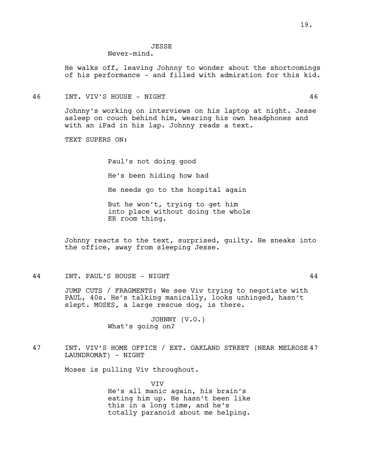## **JESSE**

## Never-mind.

He walks off, leaving Johnny to wonder about the shortcomings of his performance - and filled with admiration for this kid.

46 INT. VIV'S HOUSE - NIGHT 46

Johnny's working on interviews on his laptop at night. Jesse asleep on couch behind him, wearing his own headphones and with an iPad in his lap. Johnny reads a text.

TEXT SUPERS ON:

Paul's not doing good He's been hiding how bad He needs go to the hospital again But he won't, trying to get him into place without doing the whole ER room thing.

Johnny reacts to the text, surprised, guilty. He sneaks into the office, away from sleeping Jesse.

### 44 INT. PAUL'S HOUSE - NIGHT 44

JUMP CUTS / FRAGMENTS: We see Viv trying to negotiate with PAUL, 40s. He's talking manically, looks unhinged, hasn't slept. MOSES, a large rescue dog, is there.

> JOHNNY (V.O.) What's going on?

47 INT. VIV'S HOME OFFICE / EXT. OAKLAND STREET (NEAR MELROSE 47 LAUNDROMAT) - NIGHT

Moses is pulling Viv throughout.

VIV He's all manic again, his brain's eating him up. He hasn't been like this in a long time, and he's totally paranoid about me helping.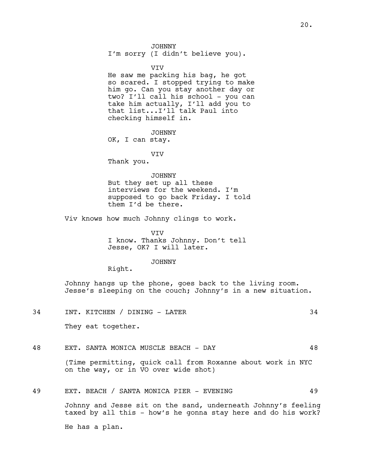I'm sorry (I didn't believe you).

VIV

He saw me packing his bag, he got so scared. I stopped trying to make him go. Can you stay another day or two? I'll call his school - you can take him actually, I'll add you to that list...I'll talk Paul into checking himself in.

JOHNNY OK, I can stay.

VIV

Thank you.

#### JOHNNY

But they set up all these interviews for the weekend. I'm supposed to go back Friday. I told them I'd be there.

Viv knows how much Johnny clings to work.

VIV I know. Thanks Johnny. Don't tell Jesse, OK? I will later.

JOHNNY

Right.

Johnny hangs up the phone, goes back to the living room. Jesse's sleeping on the couch; Johnny's in a new situation.

- 34 INT. KITCHEN / DINING LATER 34 They eat together.
- 48 EXT. SANTA MONICA MUSCLE BEACH DAY 48

(Time permitting, quick call from Roxanne about work in NYC on the way, or in VO over wide shot)

#### 49 EXT. BEACH / SANTA MONICA PIER - EVENING 49

Johnny and Jesse sit on the sand, underneath Johnny's feeling taxed by all this - how's he gonna stay here and do his work?

He has a plan.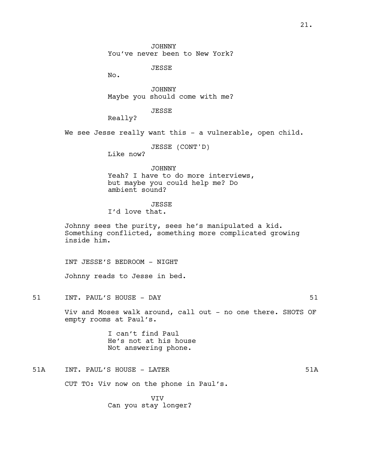JOHNNY You've never been to New York?

JESSE

No.

JOHNNY Maybe you should come with me?

JESSE

Really?

We see Jesse really want this - a vulnerable, open child.

JESSE (CONT'D)

Like now?

JOHNNY Yeah? I have to do more interviews, but maybe you could help me? Do ambient sound?

## **JESSE**

I'd love that.

Johnny sees the purity, sees he's manipulated a kid. Something conflicted, something more complicated growing inside him.

INT JESSE'S BEDROOM - NIGHT

Johnny reads to Jesse in bed.

51 INT. PAUL'S HOUSE - DAY 51

Viv and Moses walk around, call out - no one there. SHOTS OF empty rooms at Paul's.

> I can't find Paul He's not at his house Not answering phone.

51A INT. PAUL'S HOUSE - LATER SALL AND START START START THE START START START START START START START START START START START START START START START START START START START START START START START START START START START

CUT TO: Viv now on the phone in Paul's.

VIV Can you stay longer?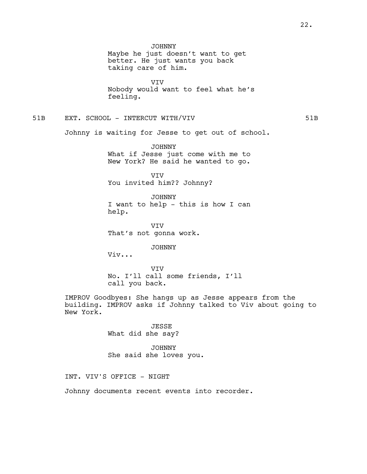VIV Nobody would want to feel what he's feeling.

## 51B EXT. SCHOOL - INTERCUT WITH/VIV **1990 120 SET AND STATE**

Johnny is waiting for Jesse to get out of school.

JOHNNY What if Jesse just come with me to New York? He said he wanted to go.

VIV You invited him?? Johnny?

JOHNNY I want to help - this is how I can help.

VIV That's not gonna work.

JOHNNY

Viv...

VIV No. I'll call some friends, I'll call you back.

IMPROV Goodbyes: She hangs up as Jesse appears from the building. IMPROV asks if Johnny talked to Viv about going to New York.

> JESSE What did she say?

JOHNNY She said she loves you.

INT. VIV'S OFFICE - NIGHT

Johnny documents recent events into recorder.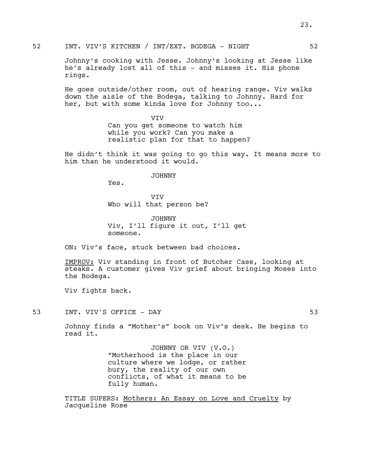52 INT. VIV'S KITCHEN / INT/EXT. BODEGA - NIGHT 52

Johnny's cooking with Jesse. Johnny's looking at Jesse like he's already lost all of this - and misses it. His phone rings.

He goes outside/other room, out of hearing range. Viv walks down the aisle of the Bodega, talking to Johnny. Hard for her, but with some kinda love for Johnny too...

> VIV Can you get someone to watch him while you work? Can you make a realistic plan for that to happen?

He didn't think it was going to go this way. It means more to him than he understood it would.

JOHNNY

Yes.

VIV Who will that person be?

JOHNNY Viv, I'll figure it out, I'll get someone.

ON: Viv's face, stuck between bad choices.

IMPROV: Viv standing in front of Butcher Case, looking at steaks. A customer gives Viv grief about bringing Moses into the Bodega.

Viv fights back.

53 INT. VIV'S OFFICE – DAY 53

Johnny finds a "Mother's" book on Viv's desk. He begins to read it.

> JOHNNY OR VIV (V.O.) "Motherhood is the place in our culture where we lodge, or rather bury, the reality of our own conflicts, of what it means to be fully human.

TITLE SUPERS: Mothers: An Essay on Love and Cruelty by Jacqueline Rose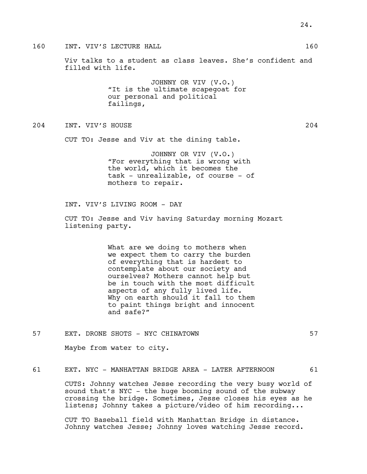Viv talks to a student as class leaves. She's confident and filled with life.

> JOHNNY OR VIV (V.O.) "It is the ultimate scapegoat for our personal and political failings,

## 204 INT. VIV'S HOUSE 204

CUT TO: Jesse and Viv at the dining table.

JOHNNY OR VIV (V.O.) "For everything that is wrong with the world, which it becomes the task - unrealizable, of course - of mothers to repair.

INT. VIV'S LIVING ROOM - DAY

CUT TO: Jesse and Viv having Saturday morning Mozart listening party.

> What are we doing to mothers when we expect them to carry the burden of everything that is hardest to contemplate about our society and ourselves? Mothers cannot help but be in touch with the most difficult aspects of any fully lived life. Why on earth should it fall to them to paint things bright and innocent and safe?"

57 EXT. DRONE SHOTS - NYC CHINATOWN 57

Maybe from water to city.

61 EXT. NYC - MANHATTAN BRIDGE AREA - LATER AFTERNOON 61

CUTS: Johnny watches Jesse recording the very busy world of sound that's NYC - the huge booming sound of the subway crossing the bridge. Sometimes, Jesse closes his eyes as he listens; Johnny takes a picture/video of him recording...

CUT TO Baseball field with Manhattan Bridge in distance. Johnny watches Jesse; Johnny loves watching Jesse record.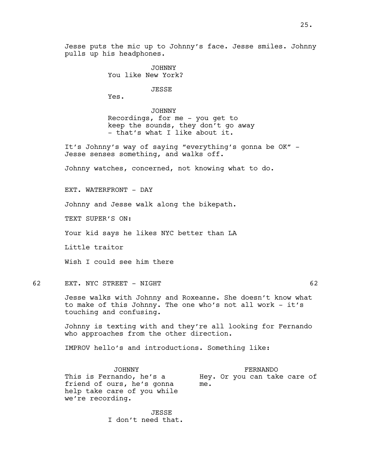JOHNNY You like New York?

JESSE

Yes.

JOHNNY Recordings, for me - you get to keep the sounds, they don't go away - that's what I like about it.

It's Johnny's way of saying "everything's gonna be OK" - Jesse senses something, and walks off.

Johnny watches, concerned, not knowing what to do.

EXT. WATERFRONT - DAY

Johnny and Jesse walk along the bikepath.

TEXT SUPER'S ON:

Your kid says he likes NYC better than LA

Little traitor

Wish I could see him there

62 EXT. NYC STREET - NIGHT

Jesse walks with Johnny and Roxeanne. She doesn't know what to make of this Johnny. The one who's not all work - it's touching and confusing.

Johnny is texting with and they're all looking for Fernando who approaches from the other direction.

IMPROV hello's and introductions. Something like:

JOHNNY This is Fernando, he's a friend of ours, he's gonna help take care of you while we're recording.

FERNANDO Hey. Or you can take care of me.

JESSE I don't need that.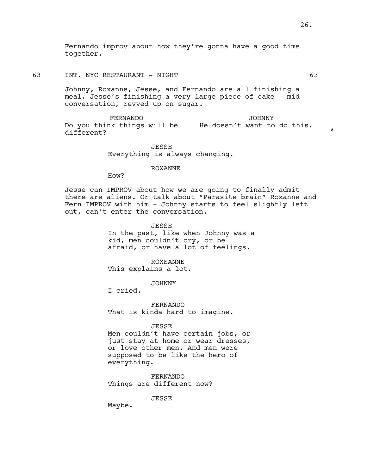Fernando improv about how they're gonna have a good time together.

63 INT. NYC RESTAURANT - NIGHT 63

Johnny, Roxanne, Jesse, and Fernando are all finishing a meal. Jesse's finishing a very large piece of cake - midconversation, revved up on sugar.

FERNANDO Do you think things will be He doesn't want to do this. different? JOHNNY

> JESSE Everything is always changing.

> > ROXANNE

How?

Jesse can IMPROV about how we are going to finally admit there are aliens. Or talk about "Parasite brain" Roxanne and Fern IMPROV with him - Johnny starts to feel slightly left out, can't enter the conversation.

JESSE

In the past, like when Johnny was a kid, men couldn't cry, or be afraid, or have a lot of feelings.

ROXEANNE This explains a lot.

JOHNNY

I cried.

FERNANDO That is kinda hard to imagine.

JESSE

Men couldn't have certain jobs, or just stay at home or wear dresses, or love other men. And men were supposed to be like the hero of everything.

FERNANDO Things are different now?

JESSE

Maybe.

\*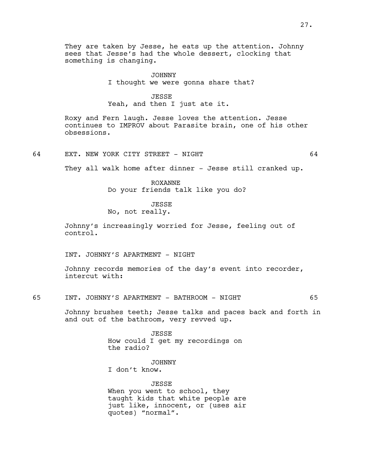They are taken by Jesse, he eats up the attention. Johnny sees that Jesse's had the whole dessert, clocking that something is changing.

> JOHNNY I thought we were gonna share that?

> > JESSE

Yeah, and then I just ate it.

Roxy and Fern laugh. Jesse loves the attention. Jesse continues to IMPROV about Parasite brain, one of his other obsessions.

64 EXT. NEW YORK CITY STREET - NIGHT 64

They all walk home after dinner - Jesse still cranked up.

ROXANNE

Do your friends talk like you do?

**JESSE** 

No, not really.

Johnny's increasingly worried for Jesse, feeling out of control.

INT. JOHNNY'S APARTMENT - NIGHT

Johnny records memories of the day's event into recorder, intercut with:

65 INT. JOHNNY'S APARTMENT - BATHROOM - NIGHT 65

Johnny brushes teeth; Jesse talks and paces back and forth in and out of the bathroom, very revved up.

> JESSE How could I get my recordings on the radio?

> > JOHNNY

I don't know.

JESSE When you went to school, they taught kids that white people are just like, innocent, or (uses air quotes) "normal".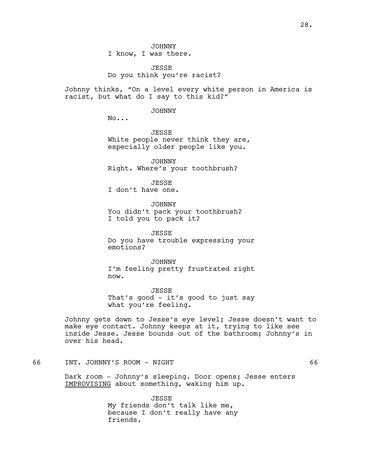JOHNNY I know, I was there.

JESSE Do you think you're racist?

Johnny thinks, "On a level every white person in America is racist, but what do I say to this kid?"

JOHNNY

No...

JESSE White people never think they are, especially older people like you.

JOHNNY Right. Where's your toothbrush?

JESSE

I don't have one.

JOHNNY

You didn't pack your toothbrush? I told you to pack it?

JESSE Do you have trouble expressing your emotions?

JOHNNY I'm feeling pretty frustrated right now.

JESSE That's good - it's good to just say what you're feeling.

Johnny gets down to Jesse's eye level; Jesse doesn't want to make eye contact. Johnny keeps at it, trying to like see inside Jesse. Jesse bounds out of the bathroom; Johnny's in over his head.

## 66 INT. JOHNNY'S ROOM - NIGHT 66

Dark room - Johnny's sleeping. Door opens; Jesse enters IMPROVISING about something, waking him up.

> JESSE My friends don't talk like me, because I don't really have any friends.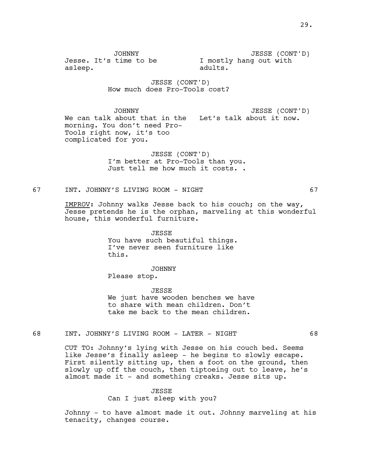JOHNNY Jesse. It's time to be asleep.

JESSE (CONT'D) I mostly hang out with adults.

JESSE (CONT'D) How much does Pro-Tools cost?

JOHNNY We can talk about that in the Let's talk about it now. morning. You don't need Pro-Tools right now, it's too complicated for you. JESSE (CONT'D)

> JESSE (CONT'D) I'm better at Pro-Tools than you. Just tell me how much it costs. .

67 INT. JOHNNY'S LIVING ROOM - NIGHT 67

IMPROV: Johnny walks Jesse back to his couch; on the way, Jesse pretends he is the orphan, marveling at this wonderful house, this wonderful furniture.

> JESSE You have such beautiful things. I've never seen furniture like this.

> > JOHNNY

Please stop.

JESSE We just have wooden benches we have to share with mean children. Don't take me back to the mean children.

#### 68 INT. JOHNNY'S LIVING ROOM - LATER - NIGHT 68

CUT TO: Johnny's lying with Jesse on his couch bed. Seems like Jesse's finally asleep - he begins to slowly escape. First silently sitting up, then a foot on the ground, then slowly up off the couch, then tiptoeing out to leave, he's almost made it - and something creaks. Jesse sits up.

#### JESSE

Can I just sleep with you?

Johnny - to have almost made it out. Johnny marveling at his tenacity, changes course.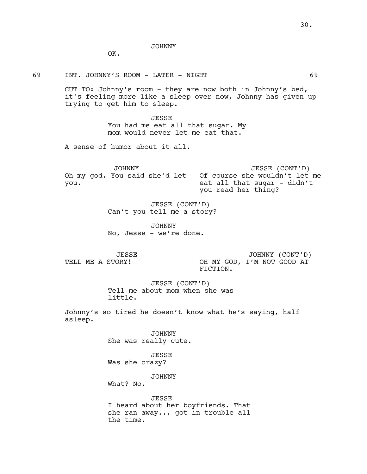JOHNNY

OK.

69 INT. JOHNNY'S ROOM - LATER - NIGHT 69

CUT TO: Johnny's room - they are now both in Johnny's bed, it's feeling more like a sleep over now, Johnny has given up trying to get him to sleep.

> JESSE You had me eat all that sugar. My mom would never let me eat that.

A sense of humor about it all.

JOHNNY Oh my god. You said she'd let Of course she wouldn't let me you. JESSE (CONT'D) eat all that sugar - didn't you read her thing?

> JESSE (CONT'D) Can't you tell me a story?

JOHNNY No, Jesse - we're done.

JESSE TELL ME A STORY!

JOHNNY (CONT'D) OH MY GOD, I'M NOT GOOD AT FICTION.

JESSE (CONT'D) Tell me about mom when she was little.

Johnny's so tired he doesn't know what he's saying, half asleep.

> JOHNNY She was really cute.

JESSE Was she crazy?

JOHNNY

What? No.

JESSE I heard about her boyfriends. That she ran away... got in trouble all the time.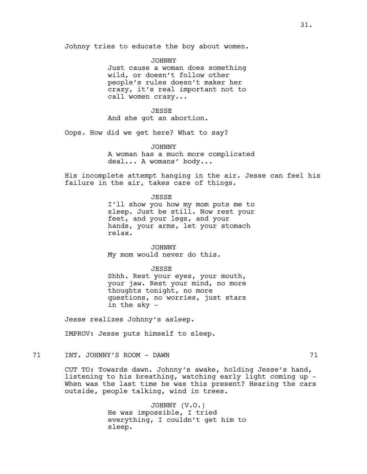Johnny tries to educate the boy about women.

JOHNNY Just cause a woman does something wild, or doesn't follow other people's rules doesn't maker her crazy, it's real important not to call women crazy...

JESSE And she got an abortion.

Oops. How did we get here? What to say?

JOHNNY

A woman has a much more complicated deal... A womans' body...

His incomplete attempt hanging in the air. Jesse can feel his failure in the air, takes care of things.

JESSE

I'll show you how my mom puts me to sleep. Just be still. Now rest your feet, and your legs, and your hands, your arms, let your stomach relax.

JOHNNY My mom would never do this.

JESSE Shhh. Rest your eyes, your mouth, your jaw. Rest your mind, no more thoughts tonight, no more questions, no worries, just stars in the sky -

Jesse realizes Johnny's asleep.

IMPROV: Jesse puts himself to sleep.

71 INT. JOHNNY'S ROOM - DAWN 71

CUT TO: Towards dawn. Johnny's awake, holding Jesse's hand, listening to his breathing, watching early light coming up - When was the last time he was this present? Hearing the cars outside, people talking, wind in trees.

> JOHNNY (V.O.) He was impossible, I tried everything, I couldn't get him to sleep.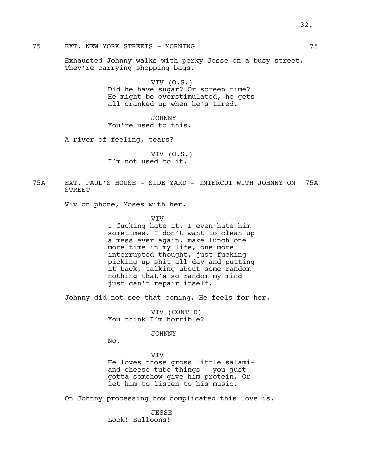Exhausted Johnny walks with perky Jesse on a busy street. They're carrying shopping bags.

> VIV (O.S.) Did he have sugar? Or screen time? He might be overstimulated, he gets all cranked up when he's tired.

JOHNNY You're used to this.

A river of feeling, tears?

VIV (O.S.) I'm not used to it.

75A EXT. PAUL'S HOUSE - SIDE YARD - INTERCUT WITH JOHNNY ON 75A STREET

Viv on phone, Moses with her.

**VTV** 

I fucking hate it. I even hate him sometimes. I don't want to clean up a mess ever again, make lunch one more time in my life, one more interrupted thought, just fucking picking up shit all day and putting it back, talking about some random nothing that's so random my mind just can't repair itself.

Johnny did not see that coming. He feels for her.

VIV (CONT'D) You think I'm horrible?

#### JOHNNY

No.

## VIV

He loves those gross little salamiand-cheese tube things - you just gotta somehow give him protein. Or let him to listen to his music.

On Johnny processing how complicated this love is.

JESSE Look! Balloons!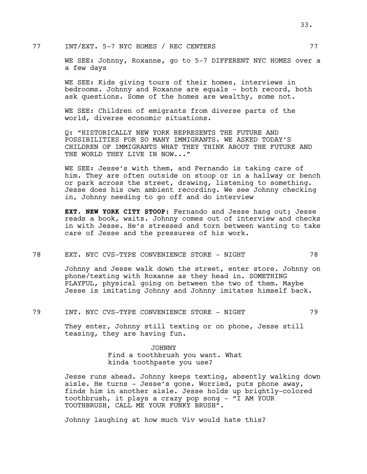WE SEE: Johnny, Roxanne, go to 5-7 DIFFERENT NYC HOMES over a a few days

WE SEE: Kids giving tours of their homes, interviews in bedrooms. Johnny and Roxanne are equals - both record, both ask questions. Some of the homes are wealthy, some not.

WE SEE: Children of emigrants from diverse parts of the world, diverse economic situations.

Q: "HISTORICALLY NEW YORK REPRESENTS THE FUTURE AND POSSIBILITIES FOR SO MANY IMMIGRANTS. WE ASKED TODAY'S CHILDREN OF IMMIGRANTS WHAT THEY THINK ABOUT THE FUTURE AND THE WORLD THEY LIVE IN NOW..."

WE SEE: Jesse's with them, and Fernando is taking care of him. They are often outside on stoop or in a hallway or bench or park across the street, drawing, listening to something. Jesse does his own ambient recording. We see Johnny checking in, Johnny needing to go off and do interview

**EXT. NEW YORK CITY STOOP:** Fernando and Jesse hang out; Jesse reads a book, waits. Johnny comes out of interview and checks in with Jesse. He's stressed and torn between wanting to take care of Jesse and the pressures of his work.

#### 78 EXT. NYC CVS-TYPE CONVENIENCE STORE - NIGHT 78

Johnny and Jesse walk down the street, enter store. Johnny on phone/texting with Roxanne as they head in. SOMETHING PLAYFUL, physical going on between the two of them. Maybe Jesse is imitating Johnny and Johnny imitates himself back.

#### 79 INT. NYC CVS-TYPE CONVENIENCE STORE - NIGHT 79

They enter, Johnny still texting or on phone, Jesse still teasing, they are having fun.

> JOHNNY Find a toothbrush you want. What kinda toothpaste you use?

Jesse runs ahead. Johnny keeps texting, absently walking down aisle. He turns - Jesse's gone. Worried, puts phone away, finds him in another aisle. Jesse holds up brightly-colored toothbrush, it plays a crazy pop song - "I AM YOUR TOOTHBRUSH, CALL ME YOUR FUNKY BRUSH".

Johnny laughing at how much Viv would hate this?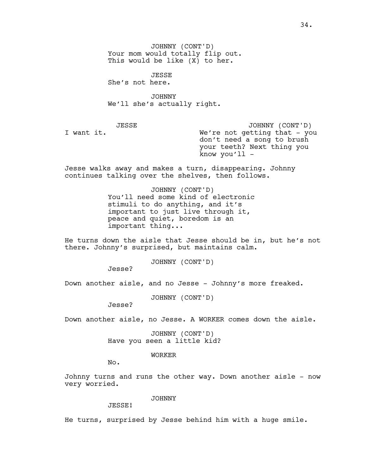JOHNNY (CONT'D) Your mom would totally flip out. This would be like (X) to her.

JESSE She's not here.

JOHNNY We'll she's actually right.

JESSE

I want it.

JOHNNY (CONT'D) We're not getting that - you don't need a song to brush your teeth? Next thing you know you'll -

Jesse walks away and makes a turn, disappearing. Johnny continues talking over the shelves, then follows.

> JOHNNY (CONT'D) You'll need some kind of electronic stimuli to do anything, and it's important to just live through it, peace and quiet, boredom is an important thing...

He turns down the aisle that Jesse should be in, but he's not there. Johnny's surprised, but maintains calm.

JOHNNY (CONT'D)

Jesse?

Down another aisle, and no Jesse - Johnny's more freaked.

JOHNNY (CONT'D)

Jesse?

Down another aisle, no Jesse. A WORKER comes down the aisle.

JOHNNY (CONT'D) Have you seen a little kid?

WORKER

No.

Johnny turns and runs the other way. Down another aisle - now very worried.

JOHNNY

JESSE!

He turns, surprised by Jesse behind him with a huge smile.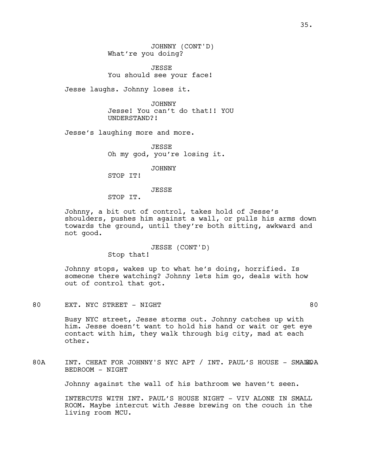JESSE You should see your face!

Jesse laughs. Johnny loses it.

JOHNNY Jesse! You can't do that!! YOU UNDERSTAND?!

Jesse's laughing more and more.

JESSE Oh my god, you're losing it.

JOHNNY

STOP IT!

JESSE

STOP IT.

Johnny, a bit out of control, takes hold of Jesse's shoulders, pushes him against a wall, or pulls his arms down towards the ground, until they're both sitting, awkward and not good.

> JESSE (CONT'D) Stop that!

Johnny stops, wakes up to what he's doing, horrified. Is someone there watching? Johnny lets him go, deals with how out of control that got.

80 EXT. NYC STREET - NIGHT 80

Busy NYC street, Jesse storms out. Johnny catches up with him. Jesse doesn't want to hold his hand or wait or get eye contact with him, they walk through big city, mad at each other.

80A INT. CHEAT FOR JOHNNY'S NYC APT / INT. PAUL'S HOUSE - SMALEOA BEDROOM - NIGHT

Johnny against the wall of his bathroom we haven't seen.

INTERCUTS WITH INT. PAUL'S HOUSE NIGHT - VIV ALONE IN SMALL ROOM. Maybe intercut with Jesse brewing on the couch in the living room MCU.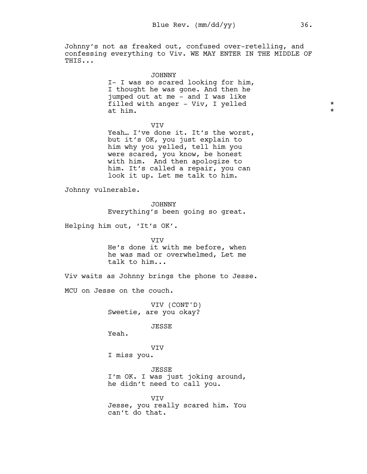Johnny's not as freaked out, confused over-retelling, and confessing everything to Viv. WE MAY ENTER IN THE MIDDLE OF THIS...

> JOHNNY I- I was so scared looking for him, I thought he was gone. And then he jumped out at me - and I was like filled with anger - Viv, I yelled \* at him.  $\star$

> > VIV

Yeah... I've done it. It's the worst, but it's OK, you just explain to him why you yelled, tell him you were scared, you know, be honest with him. And then apologize to him. It's called a repair, you can look it up. Let me talk to him.

Johnny vulnerable.

JOHNNY

Everything's been going so great.

Helping him out, 'It's OK'.

VIV

He's done it with me before, when he was mad or overwhelmed, Let me talk to him...

Viv waits as Johnny brings the phone to Jesse.

MCU on Jesse on the couch.

VIV (CONT'D) Sweetie, are you okay?

JESSE

Yeah.

VIV

I miss you.

JESSE I'm OK. I was just joking around, he didn't need to call you.

VIV Jesse, you really scared him. You can't do that.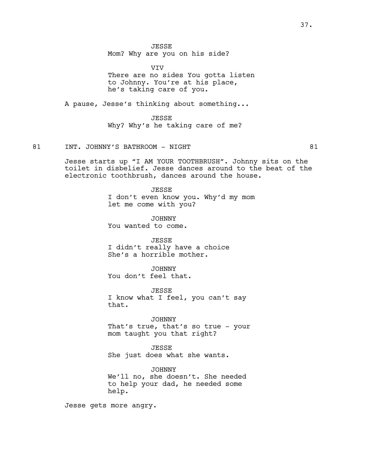JESSE

Mom? Why are you on his side?

VIV

There are no sides You gotta listen to Johnny. You're at his place, he's taking care of you.

A pause, Jesse's thinking about something...

JESSE Why? Why's he taking care of me?

### 81 INT. JOHNNY'S BATHROOM - NIGHT 81

Jesse starts up "I AM YOUR TOOTHBRUSH". Johnny sits on the toilet in disbelief. Jesse dances around to the beat of the electronic toothbrush, dances around the house.

> JESSE I don't even know you. Why'd my mom let me come with you?

JOHNNY You wanted to come.

JESSE I didn't really have a choice She's a horrible mother.

JOHNNY You don't feel that.

JESSE I know what I feel, you can't say that.

JOHNNY That's true, that's so true - your mom taught you that right?

JESSE She just does what she wants.

JOHNNY We'll no, she doesn't. She needed to help your dad, he needed some help.

Jesse gets more angry.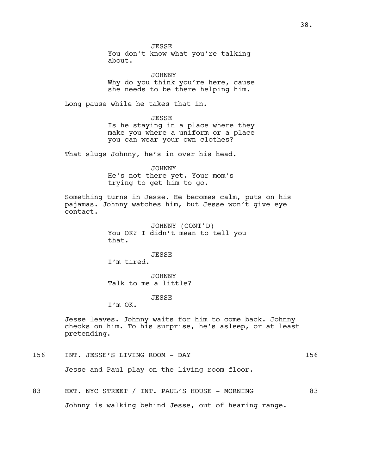JESSE

You don't know what you're talking about.

JOHNNY Why do you think you're here, cause she needs to be there helping him.

Long pause while he takes that in.

JESSE

Is he staying in a place where they make you where a uniform or a place you can wear your own clothes?

That slugs Johnny, he's in over his head.

JOHNNY He's not there yet. Your mom's trying to get him to go.

Something turns in Jesse. He becomes calm, puts on his pajamas. Johnny watches him, but Jesse won't give eye contact.

> JOHNNY (CONT'D) You OK? I didn't mean to tell you that.

JESSE I'm tired.

JOHNNY Talk to me a little?

JESSE

I'm OK.

Jesse leaves. Johnny waits for him to come back. Johnny checks on him. To his surprise, he's asleep, or at least pretending.

156 INT. JESSE'S LIVING ROOM - DAY 156

Jesse and Paul play on the living room floor.

83 EXT. NYC STREET / INT. PAUL'S HOUSE - MORNING 83

Johnny is walking behind Jesse, out of hearing range.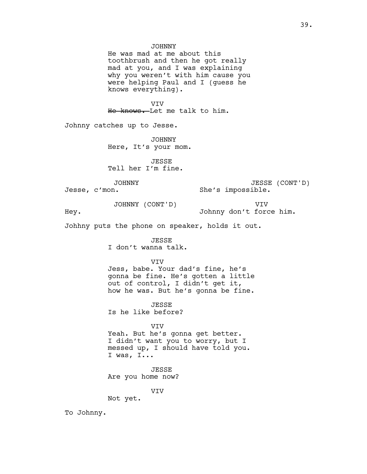toothbrush and then he got really mad at you, and I was explaining why you weren't with him cause you were helping Paul and I (guess he knows everything).

VIV He knows. Let me talk to him.

Johnny catches up to Jesse.

JOHNNY Here, It's your mom.

JESSE Tell her I'm fine.

JOHNNY

Jesse, c'mon.

JESSE (CONT'D) She's impossible.

JOHNNY (CONT'D)

VIV

Hey.

Johnny don't force him.

Johhny puts the phone on speaker, holds it out.

JESSE I don't wanna talk.

VIV

Jess, babe. Your dad's fine, he's gonna be fine. He's gotten a little out of control, I didn't get it, how he was. But he's gonna be fine.

**JESSE** Is he like before?

VIV Yeah. But he's gonna get better. I didn't want you to worry, but I messed up, I should have told you. I was, I...

JESSE Are you home now?

VIV

Not yet.

To Johnny.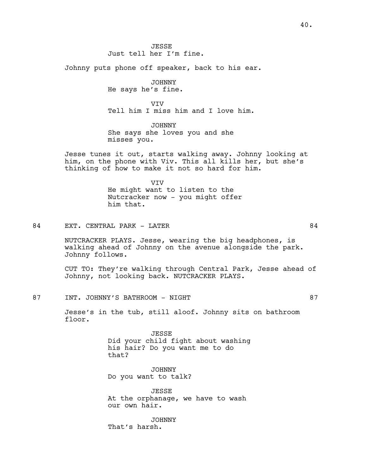JESSE Just tell her I'm fine.

Johnny puts phone off speaker, back to his ear.

JOHNNY He says he's fine.

VIV Tell him I miss him and I love him.

JOHNNY She says she loves you and she misses you.

Jesse tunes it out, starts walking away. Johnny looking at him, on the phone with Viv. This all kills her, but she's thinking of how to make it not so hard for him.

> VIV He might want to listen to the Nutcracker now - you might offer him that.

84 EXT. CENTRAL PARK - LATER SALL SOME 2008 SAME SAMPLE SERVICE SERVICE SERVICE SERVICE SERVICE SERVICE SERVICE SERVICE SERVICE SERVICE SERVICE SERVICE SERVICE SERVICE SERVICE SERVICE SERVICE SERVICE SERVICE SERVICE SERVIC

NUTCRACKER PLAYS. Jesse, wearing the big headphones, is walking ahead of Johnny on the avenue alongside the park. Johnny follows.

CUT TO: They're walking through Central Park, Jesse ahead of Johnny, not looking back. NUTCRACKER PLAYS.

87 INT. JOHNNY'S BATHROOM - NIGHT 87

Jesse's in the tub, still aloof. Johnny sits on bathroom floor.

> JESSE Did your child fight about washing his hair? Do you want me to do that?

JOHNNY Do you want to talk?

JESSE At the orphanage, we have to wash our own hair.

JOHNNY That's harsh.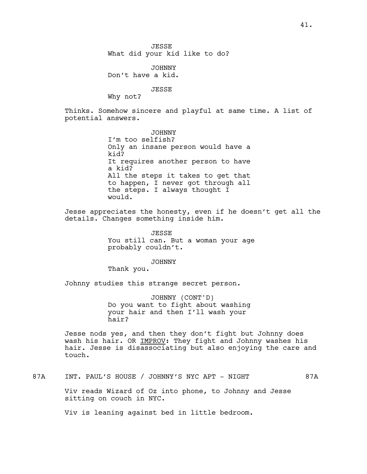JOHNNY Don't have a kid.

JESSE

Why not?

Thinks. Somehow sincere and playful at same time. A list of potential answers.

> JOHNNY I'm too selfish? Only an insane person would have a kid? It requires another person to have a kid? All the steps it takes to get that to happen, I never got through all the steps. I always thought I would.

Jesse appreciates the honesty, even if he doesn't get all the details. Changes something inside him.

> JESSE You still can. But a woman your age probably couldn't.

> > JOHNNY

Thank you.

Johnny studies this strange secret person.

JOHNNY (CONT'D) Do you want to fight about washing your hair and then I'll wash your hair?

Jesse nods yes, and then they don't fight but Johnny does wash his hair. OR IMPROV: They fight and Johnny washes his hair. Jesse is disassociating but also enjoying the care and touch.

87A INT. PAUL'S HOUSE / JOHNNY'S NYC APT - NIGHT 87A

Viv reads Wizard of Oz into phone, to Johnny and Jesse sitting on couch in NYC.

Viv is leaning against bed in little bedroom.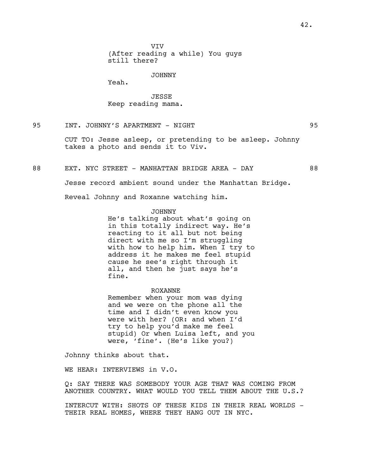VIV (After reading a while) You guys still there?

#### JOHNNY

Yeah.

JESSE Keep reading mama.

95 INT. JOHNNY'S APARTMENT - NIGHT 95

CUT TO: Jesse asleep, or pretending to be asleep. Johnny takes a photo and sends it to Viv.

88 EXT. NYC STREET - MANHATTAN BRIDGE AREA - DAY 68

Jesse record ambient sound under the Manhattan Bridge.

Reveal Johnny and Roxanne watching him.

#### JOHNNY

He's talking about what's going on in this totally indirect way. He's reacting to it all but not being direct with me so I'm struggling with how to help him. When I try to address it he makes me feel stupid cause he see's right through it all, and then he just says he's fine.

ROXANNE

Remember when your mom was dying and we were on the phone all the time and I didn't even know you were with her? (OR: and when I'd try to help you'd make me feel stupid) Or when Luisa left, and you were, 'fine'. (He's like you?)

Johnny thinks about that.

WE HEAR: INTERVIEWS in V.O.

Q: SAY THERE WAS SOMEBODY YOUR AGE THAT WAS COMING FROM ANOTHER COUNTRY. WHAT WOULD YOU TELL THEM ABOUT THE U.S.?

INTERCUT WITH: SHOTS OF THESE KIDS IN THEIR REAL WORLDS - THEIR REAL HOMES, WHERE THEY HANG OUT IN NYC.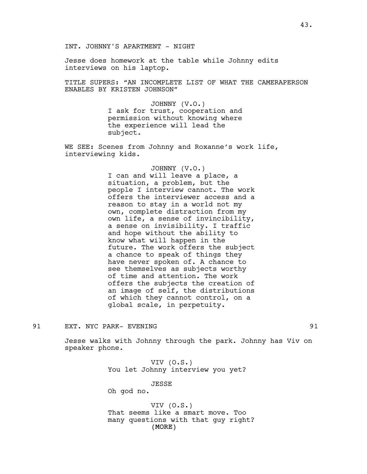Jesse does homework at the table while Johnny edits interviews on his laptop.

TITLE SUPERS: "AN INCOMPLETE LIST OF WHAT THE CAMERAPERSON ENABLES BY KRISTEN JOHNSON"

> JOHNNY (V.O.) I ask for trust, cooperation and permission without knowing where the experience will lead the subject.

WE SEE: Scenes from Johnny and Roxanne's work life, interviewing kids.

> JOHNNY (V.O.) I can and will leave a place, a situation, a problem, but the people I interview cannot. The work offers the interviewer access and a reason to stay in a world not my own, complete distraction from my own life, a sense of invincibility, a sense on invisibility. I traffic and hope without the ability to know what will happen in the future. The work offers the subject a chance to speak of things they have never spoken of. A chance to see themselves as subjects worthy of time and attention. The work offers the subjects the creation of an image of self, the distributions of which they cannot control, on a global scale, in perpetuity.

91 EXT. NYC PARK- EVENING 91

Jesse walks with Johnny through the park. Johnny has Viv on speaker phone.

> VIV (O.S.) You let Johnny interview you yet?

> > JESSE

Oh god no.

(MORE) VIV (O.S.) That seems like a smart move. Too many questions with that guy right?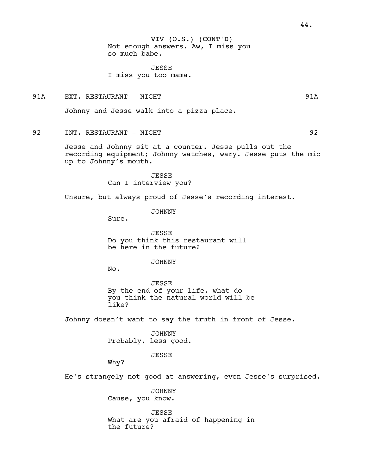# VIV (O.S.) (CONT'D)

Not enough answers. Aw, I miss you so much babe.

JESSE I miss you too mama.

91A EXT. RESTAURANT – NIGHT 1918 SAN 1918 SAN 1918

Johnny and Jesse walk into a pizza place.

92 INT. RESTAURANT - NIGHT 192

Jesse and Johnny sit at a counter. Jesse pulls out the recording equipment; Johnny watches, wary. Jesse puts the mic up to Johnny's mouth.

> JESSE Can I interview you?

Unsure, but always proud of Jesse's recording interest.

JOHNNY

Sure.

JESSE Do you think this restaurant will be here in the future?

JOHNNY

No.

JESSE By the end of your life, what do you think the natural world will be like?

Johnny doesn't want to say the truth in front of Jesse.

JOHNNY Probably, less good.

JESSE

Why?

He's strangely not good at answering, even Jesse's surprised.

JOHNNY Cause, you know.

JESSE What are you afraid of happening in the future?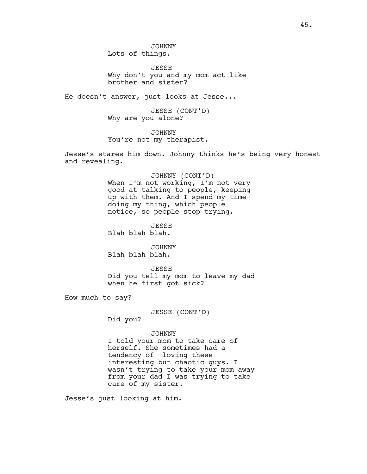JOHNNY Lots of things.

**JESSE** Why don't you and my mom act like brother and sister?

He doesn't answer, just looks at Jesse...

JESSE (CONT'D) Why are you alone?

JOHNNY You're not my therapist.

Jesse's stares him down. Johnny thinks he's being very honest and revealing.

> JOHNNY (CONT'D) When I'm not working, I'm not very good at talking to people, keeping

up with them. And I spend my time doing my thing, which people notice, so people stop trying.

**JESSE** Blah blah blah.

JOHNNY Blah blah blah.

JESSE Did you tell my mom to leave my dad when he first got sick?

How much to say?

JESSE (CONT'D)

Did you?

#### JOHNNY

I told your mom to take care of herself. She sometimes had a tendency of loving these interesting but chaotic guys. I wasn't trying to take your mom away from your dad I was trying to take care of my sister.

Jesse's just looking at him.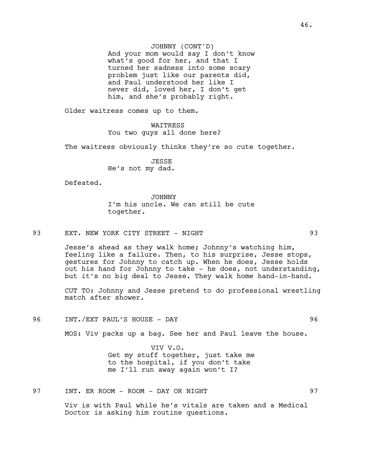JOHNNY (CONT'D) And your mom would say I don't know what's good for her, and that I turned her sadness into some scary problem just like our parents did, and Paul understood her like I never did, loved her, I don't get him, and she's probably right.

Older waitress comes up to them.

WAITRESS You two guys all done here?

The waitress obviously thinks they're so cute together.

JESSE He's not my dad.

Defeated.

JOHNNY I'm his uncle. We can still be cute together.

93 EXT. NEW YORK CITY STREET - NIGHT 93

Jesse's ahead as they walk home; Johnny's watching him, feeling like a failure. Then, to his surprise, Jesse stops, gestures for Johnny to catch up. When he does, Jesse holds out his hand for Johnny to take - he does, not understanding, but it's no big deal to Jesse. They walk home hand-in-hand.

CUT TO: Johnny and Jesse pretend to do professional wrestling match after shower.

96 INT./EXT PAUL'S HOUSE - DAY 96

MOS: Viv packs up a bag. See her and Paul leave the house.

VIV V.O. Get my stuff together, just take me to the hospital, if you don't take me I'll run away again won't I?

97 INT. ER ROOM - ROOM - DAY OR NIGHT 97

Viv is with Paul while he's vitals are taken and a Medical Doctor is asking him routine questions.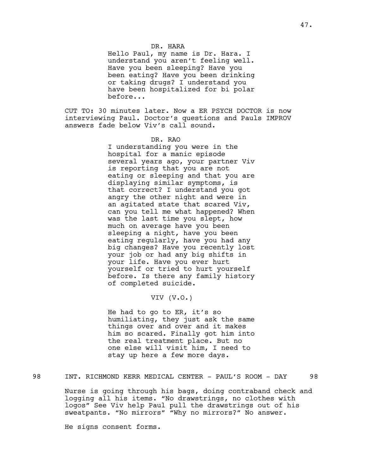### DR. HARA

Hello Paul, my name is Dr. Hara. I understand you aren't feeling well. Have you been sleeping? Have you been eating? Have you been drinking or taking drugs? I understand you have been hospitalized for bi polar before...

CUT TO: 30 minutes later. Now a ER PSYCH DOCTOR is now interviewing Paul. Doctor's questions and Pauls IMPROV answers fade below Viv's call sound.

### DR. RAO

I understanding you were in the hospital for a manic episode several years ago, your partner Viv is reporting that you are not eating or sleeping and that you are displaying similar symptoms, is that correct? I understand you got angry the other night and were in an agitated state that scared Viv, can you tell me what happened? When was the last time you slept, how much on average have you been sleeping a night, have you been eating regularly, have you had any big changes? Have you recently lost your job or had any big shifts in your life. Have you ever hurt yourself or tried to hurt yourself before. Is there any family history of completed suicide.

### VIV (V.O.)

He had to go to ER, it's so humiliating, they just ask the same things over and over and it makes him so scared. Finally got him into the real treatment place. But no one else will visit him, I need to stay up here a few more days.

### 98 INT. RICHMOND KERR MEDICAL CENTER - PAUL'S ROOM - DAY 98

Nurse is going through his bags, doing contraband check and logging all his items. "No drawstrings, no clothes with logos" See Viv help Paul pull the drawstrings out of his sweatpants. "No mirrors" "Why no mirrors?" No answer.

He signs consent forms.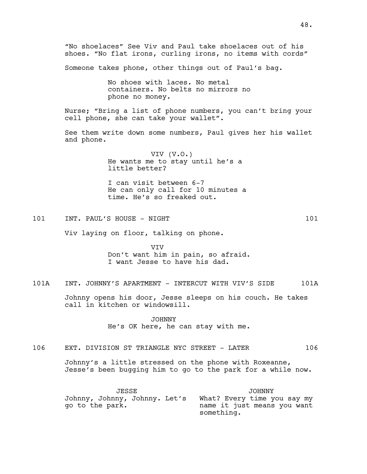"No shoelaces" See Viv and Paul take shoelaces out of his shoes. "No flat irons, curling irons, no items with cords" Someone takes phone, other things out of Paul's bag. No shoes with laces. No metal containers. No belts no mirrors no phone no money. Nurse; "Bring a list of phone numbers, you can't bring your cell phone, she can take your wallet". See them write down some numbers, Paul gives her his wallet and phone. VIV (V.O.) He wants me to stay until he's a little better? I can visit between 6-7 He can only call for 10 minutes a time. He's so freaked out. 101 INT. PAUL'S HOUSE - NIGHT 101 101 Viv laying on floor, talking on phone. VIV Don't want him in pain, so afraid. I want Jesse to have his dad. 101A INT. JOHNNY'S APARTMENT - INTERCUT WITH VIV'S SIDE 101A Johnny opens his door, Jesse sleeps on his couch. He takes call in kitchen or windowsill. JOHNNY He's OK here, he can stay with me. 106 EXT. DIVISION ST TRIANGLE NYC STREET - LATER 106 Johnny's a little stressed on the phone with Roxeanne, Jesse's been bugging him to go to the park for a while now. JESSE Johnny, Johnny, Johnny. Let's What? Every time you say my go to the park. JOHNNY name it just means you want something.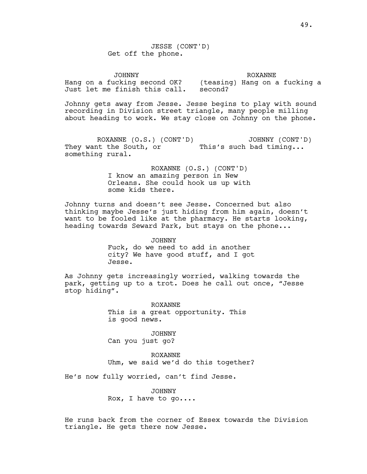JESSE (CONT'D) Get off the phone.

JOHNNY Hang on a fucking second OK? (teasing) Hang on a fucking a Just let me finish this call. second? ROXANNE

Johnny gets away from Jesse. Jesse begins to play with sound recording in Division street triangle, many people milling about heading to work. We stay close on Johnny on the phone.

ROXANNE (O.S.) (CONT'D) They want the South, or This's such bad timing... something rural. JOHNNY (CONT'D)

> ROXANNE (O.S.) (CONT'D) I know an amazing person in New Orleans. She could hook us up with some kids there.

Johnny turns and doesn't see Jesse. Concerned but also thinking maybe Jesse's just hiding from him again, doesn't want to be fooled like at the pharmacy. He starts looking, heading towards Seward Park, but stays on the phone...

> JOHNNY Fuck, do we need to add in another city? We have good stuff, and I got Jesse.

As Johnny gets increasingly worried, walking towards the park, getting up to a trot. Does he call out once, "Jesse stop hiding".

> ROXANNE This is a great opportunity. This is good news.

JOHNNY Can you just go?

ROXANNE Uhm, we said we'd do this together?

He's now fully worried, can't find Jesse.

JOHNNY Rox, I have to go....

He runs back from the corner of Essex towards the Division triangle. He gets there now Jesse.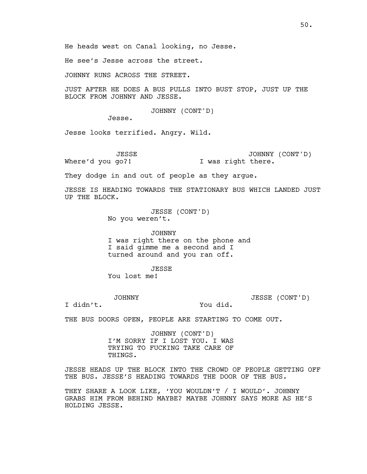He see's Jesse across the street.

JOHNNY RUNS ACROSS THE STREET.

JUST AFTER HE DOES A BUS PULLS INTO BUST STOP, JUST UP THE BLOCK FROM JOHNNY AND JESSE.

JOHNNY (CONT'D)

Jesse.

Jesse looks terrified. Angry. Wild.

JESSE Where'd you go?! JOHNNY (CONT'D) I was right there.

They dodge in and out of people as they argue.

JESSE IS HEADING TOWARDS THE STATIONARY BUS WHICH LANDED JUST UP THE BLOCK.

> JESSE (CONT'D) No you weren't.

JOHNNY I was right there on the phone and I said gimme me a second and I turned around and you ran off.

**JESSE** 

You lost me!

JOHNNY

JESSE (CONT'D)

I didn't.

You did.

THE BUS DOORS OPEN, PEOPLE ARE STARTING TO COME OUT.

JOHNNY (CONT'D) I'M SORRY IF I LOST YOU. I WAS TRYING TO FUCKING TAKE CARE OF THINGS.

JESSE HEADS UP THE BLOCK INTO THE CROWD OF PEOPLE GETTING OFF THE BUS. JESSE'S HEADING TOWARDS THE DOOR OF THE BUS.

THEY SHARE A LOOK LIKE, 'YOU WOULDN'T / I WOULD'. JOHNNY GRABS HIM FROM BEHIND MAYBE? MAYBE JOHNNY SAYS MORE AS HE'S HOLDING JESSE.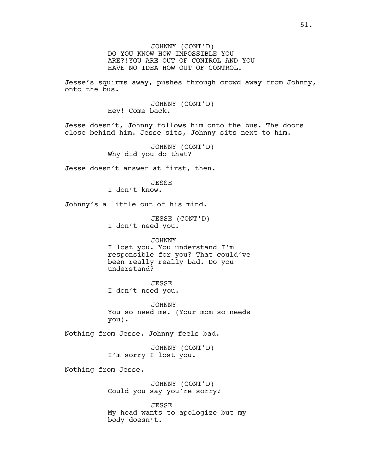JOHNNY (CONT'D) DO YOU KNOW HOW IMPOSSIBLE YOU ARE?!YOU ARE OUT OF CONTROL AND YOU HAVE NO IDEA HOW OUT OF CONTROL.

Jesse's squirms away, pushes through crowd away from Johnny, onto the bus.

> JOHNNY (CONT'D) Hey! Come back.

Jesse doesn't, Johnny follows him onto the bus. The doors close behind him. Jesse sits, Johnny sits next to him.

> JOHNNY (CONT'D) Why did you do that?

Jesse doesn't answer at first, then.

**JESSE** 

I don't know.

Johnny's a little out of his mind.

JESSE (CONT'D) I don't need you.

#### JOHNNY

I lost you. You understand I'm responsible for you? That could've been really really bad. Do you understand?

### **JESSE**

I don't need you.

JOHNNY You so need me. (Your mom so needs you).

Nothing from Jesse. Johnny feels bad.

JOHNNY (CONT'D) I'm sorry I lost you.

Nothing from Jesse.

JOHNNY (CONT'D) Could you say you're sorry?

JESSE My head wants to apologize but my body doesn't.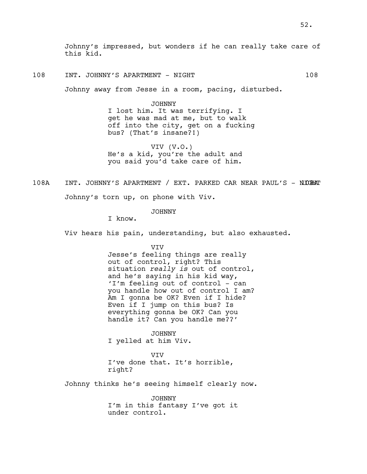Johnny's impressed, but wonders if he can really take care of this kid.

108 INT. JOHNNY'S APARTMENT - NIGHT 108

Johnny away from Jesse in a room, pacing, disturbed.

JOHNNY

I lost him. It was terrifying. I get he was mad at me, but to walk off into the city, get on a fucking bus? (That's insane?!)

VIV (V.O.) He's a kid, you're the adult and you said you'd take care of him.

108A INT. JOHNNY'S APARTMENT / EXT. PARKED CAR NEAR PAUL'S - NICHAT

Johnny's torn up, on phone with Viv.

JOHNNY

I know.

Viv hears his pain, understanding, but also exhausted.

VIV

Jesse's feeling things are really out of control, right? This situation *really is* out of control, and he's saying in his kid way, 'I'm feeling out of control - can you handle how out of control I am? Am I gonna be OK? Even if I hide? Even if I jump on this bus? Is everything gonna be OK? Can you handle it? Can you handle me??'

JOHNNY I yelled at him Viv.

VIV I've done that. It's horrible, right?

Johnny thinks he's seeing himself clearly now.

JOHNNY I'm in this fantasy I've got it under control.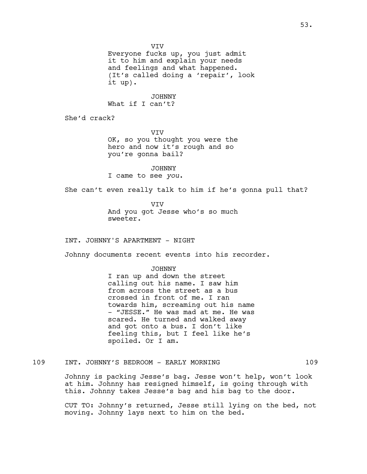VIV

Everyone fucks up, you just admit it to him and explain your needs and feelings and what happened. (It's called doing a 'repair', look it up).

JOHNNY What if I can't?

She'd crack?

VIV OK, so you thought you were the hero and now it's rough and so you're gonna bail?

JOHNNY I came to see *you*.

She can't even really talk to him if he's gonna pull that?

**VTV** And you got Jesse who's so much sweeter.

INT. JOHNNY'S APARTMENT - NIGHT

Johnny documents recent events into his recorder.

JOHNNY I ran up and down the street calling out his name. I saw him from across the street as a bus crossed in front of me. I ran towards him, screaming out his name - "JESSE." He was mad at me. He was scared. He turned and walked away and got onto a bus. I don't like feeling this, but I feel like he's spoiled. Or I am.

109 INT. JOHNNY'S BEDROOM - EARLY MORNING 109

Johnny is packing Jesse's bag. Jesse won't help, won't look at him. Johnny has resigned himself, is going through with this. Johnny takes Jesse's bag and his bag to the door.

CUT TO: Johnny's returned, Jesse still lying on the bed, not moving. Johnny lays next to him on the bed.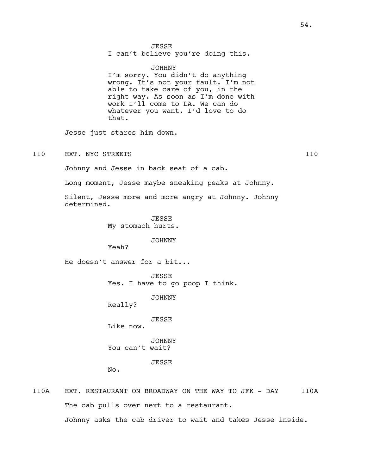I can't believe you're doing this.

#### JOHHNY

I'm sorry. You didn't do anything wrong. It's not your fault. I'm not able to take care of you, in the right way. As soon as I'm done with work I'll come to LA. We can do whatever you want. I'd love to do that.

Jesse just stares him down.

110 EXT. NYC STREETS 110

Johnny and Jesse in back seat of a cab.

Long moment, Jesse maybe sneaking peaks at Johnny.

Silent, Jesse more and more angry at Johnny. Johnny determined.

> JESSE My stomach hurts.

#### JOHNNY

Yeah?

He doesn't answer for a bit...

JESSE Yes. I have to go poop I think.

JOHNNY

Really?

JESSE Like now.

JOHNNY You can't wait?

**JESSE** 

No.

110A EXT. RESTAURANT ON BROADWAY ON THE WAY TO JFK - DAY 110A The cab pulls over next to a restaurant. Johnny asks the cab driver to wait and takes Jesse inside.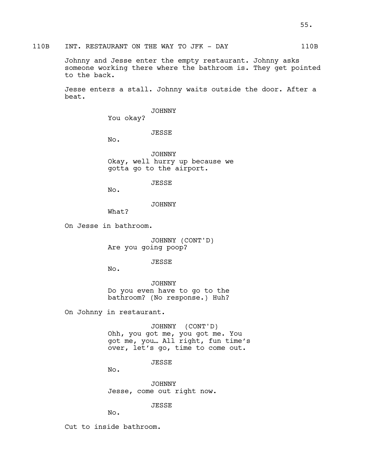# 110B INT. RESTAURANT ON THE WAY TO JFK - DAY 110B

Johnny and Jesse enter the empty restaurant. Johnny asks someone working there where the bathroom is. They get pointed to the back.

Jesse enters a stall. Johnny waits outside the door. After a beat.

JOHNNY

You okay?

JESSE

No.

JOHNNY Okay, well hurry up because we gotta go to the airport.

JESSE

No.

JOHNNY

What?

On Jesse in bathroom.

JOHNNY (CONT'D) Are you going poop?

JESSE

No.

JOHNNY Do you even have to go to the bathroom? (No response.) Huh?

On Johnny in restaurant.

JOHNNY (CONT'D) Ohh, you got me, you got me. You got me, you… All right, fun time's over, let's go, time to come out.

**JESSE** 

No.

JOHNNY Jesse, come out right now.

JESSE

No.

Cut to inside bathroom.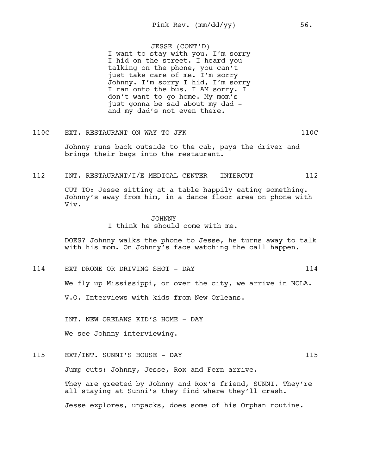JESSE (CONT'D) I want to stay with you. I'm sorry I hid on the street. I heard you talking on the phone, you can't just take care of me. I'm sorry Johnny. I'm sorry I hid, I'm sorry I ran onto the bus. I AM sorry. I don't want to go home. My mom's just gonna be sad about my dad and my dad's not even there.

### 110C EXT. RESTAURANT ON WAY TO JFK 110C

Johnny runs back outside to the cab, pays the driver and brings their bags into the restaurant.

#### 112 INT. RESTAURANT/I/E MEDICAL CENTER - INTERCUT 112

CUT TO: Jesse sitting at a table happily eating something. Johnny's away from him, in a dance floor area on phone with Viv.

### JOHNNY

I think he should come with me.

DOES? Johnny walks the phone to Jesse, he turns away to talk with his mom. On Johnny's face watching the call happen.

114 EXT DRONE OR DRIVING SHOT - DAY 114 We fly up Mississippi, or over the city, we arrive in NOLA. V.O. Interviews with kids from New Orleans.

INT. NEW ORELANS KID'S HOME - DAY

We see Johnny interviewing.

115 EXT/INT. SUNNI'S HOUSE - DAY 115

Jump cuts: Johnny, Jesse, Rox and Fern arrive.

They are greeted by Johnny and Rox's friend, SUNNI. They're all staying at Sunni's they find where they'll crash. Jesse explores, unpacks, does some of his Orphan routine.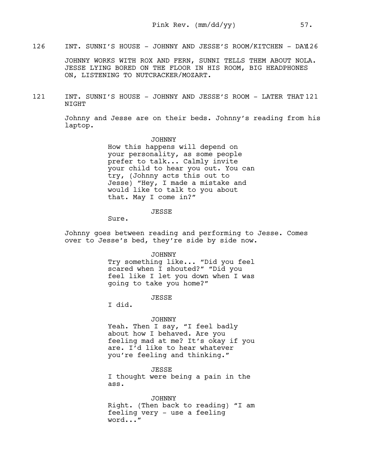126 INT. SUNNI'S HOUSE - JOHNNY AND JESSE'S ROOM/KITCHEN - DAY126

JOHNNY WORKS WITH ROX AND FERN, SUNNI TELLS THEM ABOUT NOLA. JESSE LYING BORED ON THE FLOOR IN HIS ROOM, BIG HEADPHONES ON, LISTENING TO NUTCRACKER/MOZART.

121 INT. SUNNI'S HOUSE - JOHNNY AND JESSE'S ROOM - LATER THAT 121 NIGHT

> Johnny and Jesse are on their beds. Johnny's reading from his laptop.

> > JOHNNY How this happens will depend on your personality, as some people prefer to talk... Calmly invite your child to hear you out. You can try, (Johnny acts this out to Jesse) "Hey, I made a mistake and would like to talk to you about that. May I come in?"

> > > JESSE

Sure.

Johnny goes between reading and performing to Jesse. Comes over to Jesse's bed, they're side by side now.

JOHNNY

Try something like... "Did you feel scared when I shouted?" "Did you feel like I let you down when I was going to take you home?"

**JESSE** 

I did.

#### JOHNNY

Yeah. Then I say, "I feel badly about how I behaved. Are you feeling mad at me? It's okay if you are. I'd like to hear whatever you're feeling and thinking."

JESSE I thought were being a pain in the ass.

JOHNNY Right. (Then back to reading) "I am feeling very - use a feeling word..."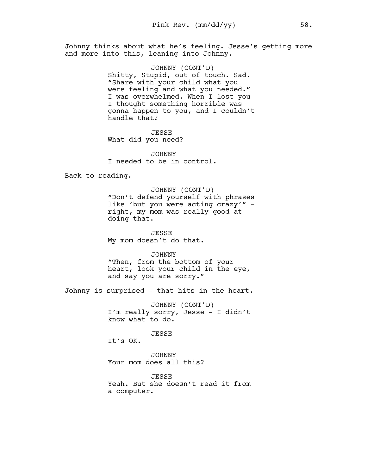Johnny thinks about what he's feeling. Jesse's getting more and more into this, leaning into Johnny.

> JOHNNY (CONT'D) Shitty, Stupid, out of touch. Sad. "Share with your child what you were feeling and what you needed." I was overwhelmed. When I lost you I thought something horrible was gonna happen to you, and I couldn't handle that?

JESSE What did you need?

JOHNNY I needed to be in control.

Back to reading.

JOHNNY (CONT'D) "Don't defend yourself with phrases like 'but you were acting crazy'" right, my mom was really good at doing that.

JESSE My mom doesn't do that.

JOHNNY "Then, from the bottom of your heart, look your child in the eye, and say you are sorry."

Johnny is surprised - that hits in the heart.

JOHNNY (CONT'D) I'm really sorry, Jesse - I didn't know what to do.

JESSE

It's OK.

JOHNNY Your mom does all this?

**JESSE** Yeah. But she doesn't read it from a computer.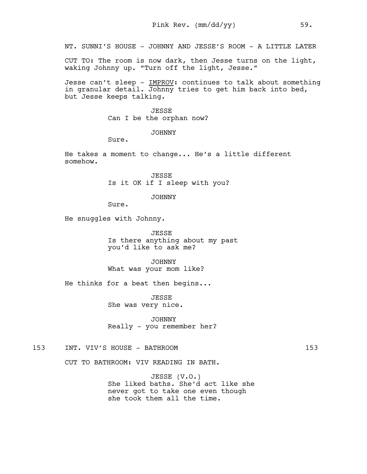NT. SUNNI'S HOUSE - JOHNNY AND JESSE'S ROOM - A LITTLE LATER

CUT TO: The room is now dark, then Jesse turns on the light, waking Johnny up. "Turn off the light, Jesse."

Jesse can't sleep - IMPROV: continues to talk about something in granular detail. Johnny tries to get him back into bed, but Jesse keeps talking.

> JESSE Can I be the orphan now?

> > JOHNNY

Sure.

He takes a moment to change... He's a little different somehow.

> JESSE Is it OK if I sleep with you?

> > JOHNNY

Sure.

He snuggles with Johnny.

JESSE Is there anything about my past you'd like to ask me?

JOHNNY What was your mom like?

He thinks for a beat then begins...

**JESSE** She was very nice.

JOHNNY Really - you remember her?

153 INT. VIV'S HOUSE - BATHROOM 153

CUT TO BATHROOM: VIV READING IN BATH.

JESSE (V.O.) She liked baths. She'd act like she never got to take one even though she took them all the time.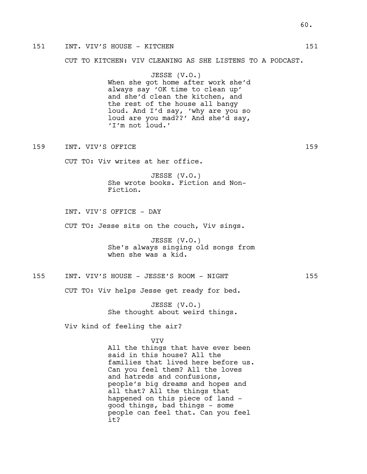### 151 INT. VIV'S HOUSE - KITCHEN 151

CUT TO KITCHEN: VIV CLEANING AS SHE LISTENS TO A PODCAST.

JESSE (V.O.) When she got home after work she'd always say 'OK time to clean up' and she'd clean the kitchen, and the rest of the house all bangy loud. And I'd say, 'why are you so loud are you mad??' And she'd say, 'I'm not loud.'

159 INT. VIV'S OFFICE 2008 159

CUT TO: Viv writes at her office.

JESSE (V.O.) She wrote books. Fiction and Non-Fiction.

INT. VIV'S OFFICE - DAY

CUT TO: Jesse sits on the couch, Viv sings.

JESSE (V.O.) She's always singing old songs from when she was a kid.

### 155 INT. VIV'S HOUSE - JESSE'S ROOM - NIGHT 155

CUT TO: Viv helps Jesse get ready for bed.

JESSE (V.O.) She thought about weird things.

Viv kind of feeling the air?

#### VIV

All the things that have ever been said in this house? All the families that lived here before us. Can you feel them? All the loves and hatreds and confusions, people's big dreams and hopes and all that? All the things that happened on this piece of land good things, bad things - some people can feel that. Can you feel it?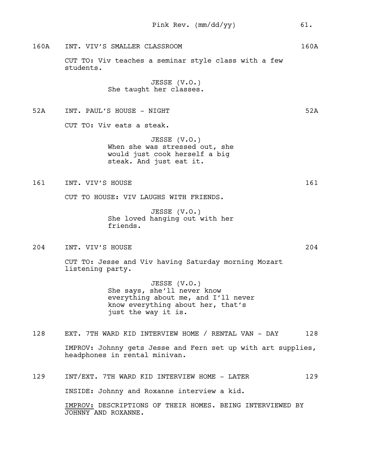160A INT. VIV'S SMALLER CLASSROOM 160A

CUT TO: Viv teaches a seminar style class with a few students.

> JESSE (V.O.) She taught her classes.

52A INT. PAUL'S HOUSE - NIGHT 52A

CUT TO: Viv eats a steak.

JESSE (V.O.) When she was stressed out, she would just cook herself a big steak. And just eat it.

161 INT. VIV'S HOUSE 2008 161

CUT TO HOUSE: VIV LAUGHS WITH FRIENDS.

JESSE (V.O.) She loved hanging out with her friends.

204 INT. VIV'S HOUSE 204

CUT TO: Jesse and Viv having Saturday morning Mozart listening party.

> JESSE (V.O.) She says, she'll never know everything about me, and I'll never know everything about her, that's just the way it is.

- 128 EXT. 7TH WARD KID INTERVIEW HOME / RENTAL VAN DAY 128 IMPROV: Johnny gets Jesse and Fern set up with art supplies, headphones in rental minivan.
- 129 INT/EXT. 7TH WARD KID INTERVIEW HOME LATER 129 INSIDE: Johnny and Roxanne interview a kid. IMPROV: DESCRIPTIONS OF THEIR HOMES. BEING INTERVIEWED BY JOHNNY AND ROXANNE.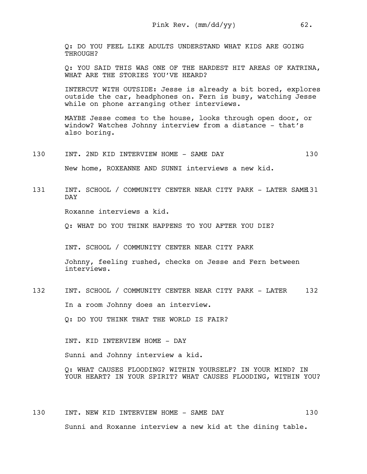Q: DO YOU FEEL LIKE ADULTS UNDERSTAND WHAT KIDS ARE GOING THROUGH?

Q: YOU SAID THIS WAS ONE OF THE HARDEST HIT AREAS OF KATRINA, WHAT ARE THE STORIES YOU'VE HEARD?

INTERCUT WITH OUTSIDE: Jesse is already a bit bored, explores outside the car, headphones on. Fern is busy, watching Jesse while on phone arranging other interviews.

MAYBE Jesse comes to the house, looks through open door, or window? Watches Johnny interview from a distance - that's also boring.

130 INT. 2ND KID INTERVIEW HOME - SAME DAY 130 New home, ROXEANNE AND SUNNI interviews a new kid.

131 INT. SCHOOL / COMMUNITY CENTER NEAR CITY PARK - LATER SAME 131 DAY

Roxanne interviews a kid.

Q: WHAT DO YOU THINK HAPPENS TO YOU AFTER YOU DIE?

INT. SCHOOL / COMMUNITY CENTER NEAR CITY PARK

Johnny, feeling rushed, checks on Jesse and Fern between interviews.

132 INT. SCHOOL / COMMUNITY CENTER NEAR CITY PARK - LATER 132

In a room Johnny does an interview.

Q: DO YOU THINK THAT THE WORLD IS FAIR?

INT. KID INTERVIEW HOME - DAY

Sunni and Johnny interview a kid.

Q: WHAT CAUSES FLOODING? WITHIN YOURSELF? IN YOUR MIND? IN YOUR HEART? IN YOUR SPIRIT? WHAT CAUSES FLOODING, WITHIN YOU?

130 INT. NEW KID INTERVIEW HOME - SAME DAY 130 Sunni and Roxanne interview a new kid at the dining table.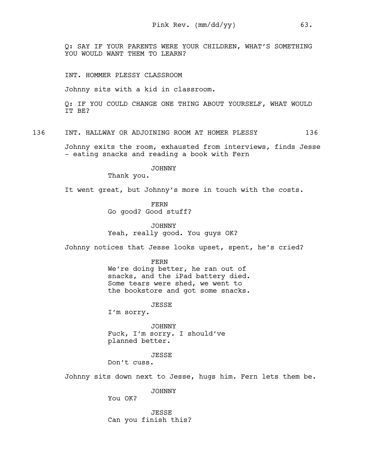Q: SAY IF YOUR PARENTS WERE YOUR CHILDREN, WHAT'S SOMETHING YOU WOULD WANT THEM TO LEARN?

INT. HOMMER PLESSY CLASSROOM

Johnny sits with a kid in classroom.

Q: IF YOU COULD CHANGE ONE THING ABOUT YOURSELF, WHAT WOULD IT BE?

136 INT. HALLWAY OR ADJOINING ROOM AT HOMER PLESSY 136

Johnny exits the room, exhausted from interviews, finds Jesse - eating snacks and reading a book with Fern

JOHNNY

Thank you.

It went great, but Johnny's more in touch with the costs.

FERN Go good? Good stuff?

JOHNNY Yeah, really good. You guys OK?

Johnny notices that Jesse looks upset, spent, he's cried?

FERN

We're doing better, he ran out of snacks, and the iPad battery died. Some tears were shed, we went to the bookstore and got some snacks.

JESSE

I'm sorry.

JOHNNY Fuck, I'm sorry. I should've planned better.

JESSE

Don't cuss.

Johnny sits down next to Jesse, hugs him. Fern lets them be.

JOHNNY

You OK?

JESSE Can you finish this?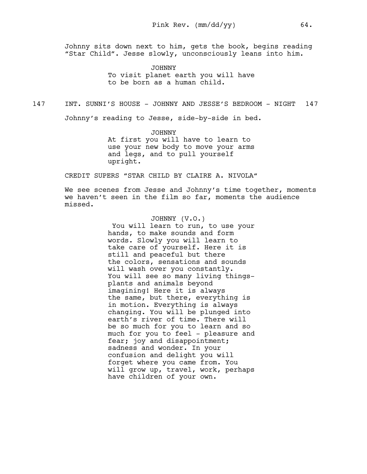Johnny sits down next to him, gets the book, begins reading "Star Child". Jesse slowly, unconsciously leans into him.

> JOHNNY To visit planet earth you will have to be born as a human child.

147 INT. SUNNI'S HOUSE - JOHNNY AND JESSE'S BEDROOM - NIGHT 147

Johnny's reading to Jesse, side-by-side in bed.

JOHNNY At first you will have to learn to use your new body to move your arms and legs, and to pull yourself upright.

CREDIT SUPERS "STAR CHILD BY CLAIRE A. NIVOLA"

We see scenes from Jesse and Johnny's time together, moments we haven't seen in the film so far, moments the audience missed.

### JOHNNY (V.O.)

 You will learn to run, to use your hands, to make sounds and form words. Slowly you will learn to take care of yourself. Here it is still and peaceful but there the colors, sensations and sounds will wash over you constantly. You will see so many living thingsplants and animals beyond imagining! Here it is always the same, but there, everything is in motion. Everything is always changing. You will be plunged into earth's river of time. There will be so much for you to learn and so much for you to feel - pleasure and fear; joy and disappointment; sadness and wonder. In your confusion and delight you will forget where you came from. You will grow up, travel, work, perhaps have children of your own.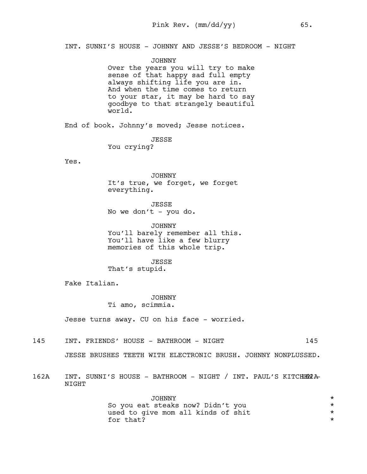INT. SUNNI'S HOUSE - JOHNNY AND JESSE'S BEDROOM - NIGHT

JOHNNY Over the years you will try to make sense of that happy sad full empty always shifting life you are in. And when the time comes to return to your star, it may be hard to say goodbye to that strangely beautiful world.

End of book. Johnny's moved; Jesse notices.

**JESSE** You crying?

Yes.

JOHNNY It's true, we forget, we forget everything.

**JESSE** No we don't - you do.

JOHNNY You'll barely remember all this. You'll have like a few blurry memories of this whole trip.

JESSE That's stupid.

Fake Italian.

JOHNNY Ti amo, scimmia.

Jesse turns away. CU on his face - worried.

145 INT. FRIENDS' HOUSE - BATHROOM - NIGHT

JESSE BRUSHES TEETH WITH ELECTRONIC BRUSH. JOHNNY NONPLUSSED.

162A INT. SUNNI'S HOUSE - BATHROOM - NIGHT / INT. PAUL'S KITCHEN A NIGHT

> JOHNNY<br>steaks now? Didn't you and the steaks now? So you eat steaks now? Didn't you \* used to give mom all kinds of shit  $\star$ <br>for that? for that?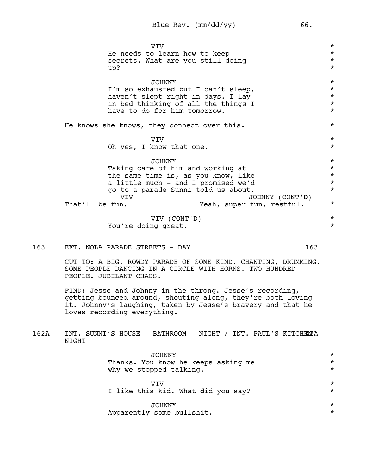|     | <b>VIV</b>                                                                                                               | $\star$            |
|-----|--------------------------------------------------------------------------------------------------------------------------|--------------------|
|     | He needs to learn how to keep                                                                                            | $\star$            |
|     | secrets. What are you still doing                                                                                        | $\star$            |
|     | up?                                                                                                                      | $\star$            |
|     |                                                                                                                          |                    |
|     | <b>JOHNNY</b>                                                                                                            | $\star$<br>$\star$ |
|     | I'm so exhausted but I can't sleep,<br>haven't slept right in days. I lay                                                | $\star$            |
|     | in bed thinking of all the things I                                                                                      | $\star$            |
|     | have to do for him tomorrow.                                                                                             | $\star$            |
|     |                                                                                                                          |                    |
|     | He knows she knows, they connect over this.                                                                              | $\star$            |
|     | <b>VIV</b>                                                                                                               | $\star$            |
|     | Oh yes, I know that one.                                                                                                 | $\star$            |
|     | <b>JOHNNY</b>                                                                                                            | $\star$            |
|     | Taking care of him and working at                                                                                        | $\star$            |
|     | the same time is, as you know, like                                                                                      | $\star$            |
|     | a little much - and I promised we'd                                                                                      | $\star$            |
|     | go to a parade Sunni told us about.                                                                                      | $\star$            |
|     | <b>VTV</b><br>JOHNNY (CONT'D)                                                                                            |                    |
|     | That'll be fun.<br>Yeah, super fun, restful.                                                                             | $\star$            |
|     | VIV (CONT'D)                                                                                                             | $\star$            |
|     | You're doing great.                                                                                                      | $\star$            |
|     |                                                                                                                          |                    |
| 163 | EXT. NOLA PARADE STREETS - DAY                                                                                           | 163                |
|     | CUT TO: A BIG, ROWDY PARADE OF SOME KIND. CHANTING, DRUMMING,<br>SOME PEOPLE DANCING IN A CIRCLE WITH HORNS. TWO HUNDRED |                    |

FIND: Jesse and Johnny in the throng. Jesse's recording, getting bounced around, shouting along, they're both loving it. Johnny's laughing, taken by Jesse's bravery and that he loves recording everything.

162A INT. SUNNI'S HOUSE - BATHROOM - NIGHT / INT. PAUL'S KITCHENYA NIGHT

PEOPLE. JUBILANT CHAOS.

| <b>JOHNNY</b>                       | $\star$ |
|-------------------------------------|---------|
| Thanks. You know he keeps asking me | $\star$ |
| why we stopped talking.             | $\star$ |
|                                     |         |
| VTV                                 | $\star$ |
| I like this kid. What did you say?  | $\star$ |
|                                     |         |
| <b>JOHNNY</b>                       | $\star$ |
| Apparently some bullshit.           | $\star$ |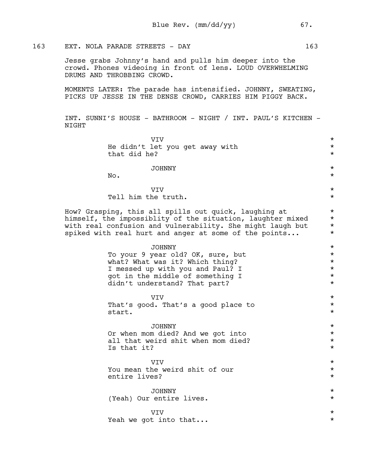## 163 EXT. NOLA PARADE STREETS - DAY 163

Jesse grabs Johnny's hand and pulls him deeper into the crowd. Phones videoing in front of lens. LOUD OVERWHELMING DRUMS AND THROBBING CROWD.

MOMENTS LATER: The parade has intensified. JOHNNY, SWEATING, PICKS UP JESSE IN THE DENSE CROWD, CARRIES HIM PIGGY BACK.

INT. SUNNI'S HOUSE - BATHROOM - NIGHT / INT. PAUL'S KITCHEN - NIGHT

| VIV                                                        | $^\star$ |
|------------------------------------------------------------|----------|
| He didn't let you get away with                            | $^\star$ |
| that did he?                                               | $^\star$ |
| <b>JOHNNY</b>                                              | $^\star$ |
| No.                                                        | $\star$  |
|                                                            |          |
| VIV                                                        | $\star$  |
| Tell him the truth.                                        | $^\star$ |
| How? Grasping, this all spills out quick, laughing at      | $^\star$ |
| himself, the impossiblity of the situation, laughter mixed | $^\star$ |
| with real confusion and vulnerability. She might laugh but | $^\star$ |
| spiked with real hurt and anger at some of the points      | $\star$  |
| JOHNNY                                                     | $\star$  |
| To your 9 year old? OK, sure, but                          | $^\star$ |
| what? What was it? Which thing?                            | $^\star$ |
| I messed up with you and Paul? I                           | $^\star$ |
| got in the middle of something I                           | $\star$  |
| didn't understand? That part?                              | $\star$  |
| <b>VIV</b>                                                 | $^\star$ |
| That's good. That's a good place to                        | $^\star$ |
| start.                                                     | $^\star$ |
| <b>JOHNNY</b>                                              | $^\star$ |
| Or when mom died? And we got into                          | $^\star$ |
| all that weird shit when mom died?                         | $^\star$ |
| Is that it?                                                | $^\star$ |
| VIV                                                        | $^\star$ |
| You mean the weird shit of our                             | $^\star$ |
| entire lives?                                              | $^\star$ |
| JOHNNY                                                     | $^\star$ |
| (Yeah) Our entire lives.                                   | $^\star$ |
| VIV                                                        | $^\star$ |
| Yeah we got into that                                      | $^\star$ |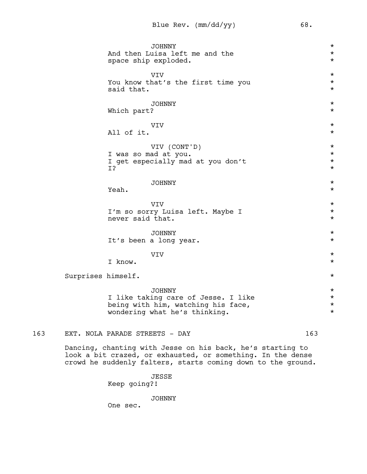JOHNNY \* And then Luisa left me and the space ship exploded.  $*$ VIV \* You know that's the first time you  $*$ <br>said that. said that. JOHNNY \* Which part?  $\star$ VIV \* All of it.  $\star$ VIV (CONT'D) \* I was so mad at you.  $\star$ I get especially mad at you don't<br>I? I? JOHNNY \* Yeah.  $\star$ VIV \* I'm so sorry Luisa left. Maybe I \* never said that.  $\star$ JOHNNY \* It's been a long year.  $\star$ VIV \* I know.  $\star$ surprises himself.  $\star$ JOHNNY \* I like taking care of Jesse. I like  $*$ being with him, watching his face,  $\star$ wondering what he's thinking.  $*$ 

163 EXT. NOLA PARADE STREETS - DAY 163

Dancing, chanting with Jesse on his back, he's starting to look a bit crazed, or exhausted, or something. In the dense crowd he suddenly falters, starts coming down to the ground.

> JESSE Keep going?!

> > JOHNNY

One sec.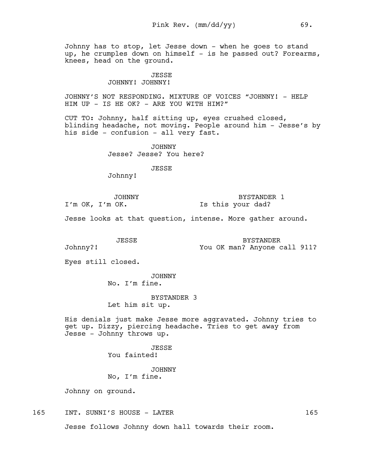Johnny has to stop, let Jesse down - when he goes to stand up, he crumples down on himself - is he passed out? Forearms, knees, head on the ground.

### JESSE JOHNNY! JOHNNY!

JOHNNY'S NOT RESPONDING. MIXTURE OF VOICES "JOHNNY! - HELP HIM UP - IS HE OK? - ARE YOU WITH HIM?"

CUT TO: Johnny, half sitting up, eyes crushed closed, blinding headache, not moving. People around him - Jesse's by his side - confusion - all very fast.

> JOHNNY Jesse? Jesse? You here?

> > JESSE

Johnny!

JOHNNY I'm OK, I'm OK.

BYSTANDER 1 Is this your dad?

Jesse looks at that question, intense. More gather around.

JESSE

BYSTANDER You OK man? Anyone call 911?

Eyes still closed.

Johnny?!

JOHNNY No. I'm fine.

BYSTANDER 3

Let him sit up.

His denials just make Jesse more aggravated. Johnny tries to get up. Dizzy, piercing headache. Tries to get away from Jesse - Johnny throws up.

> JESSE You fainted!

JOHNNY No, I'm fine.

Johnny on ground.

165 INT. SUNNI'S HOUSE - LATER 165

Jesse follows Johnny down hall towards their room.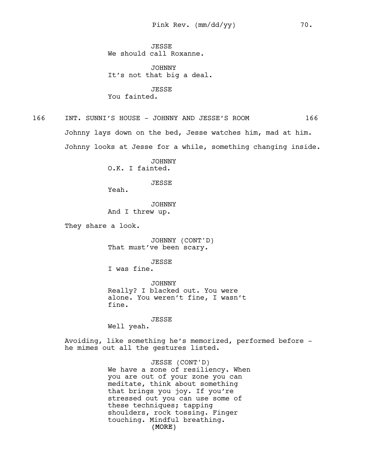**JESSE** We should call Roxanne.

JOHNNY It's not that big a deal.

JESSE You fainted.

166 INT. SUNNI'S HOUSE - JOHNNY AND JESSE'S ROOM 166

Johnny lays down on the bed, Jesse watches him, mad at him. Johnny looks at Jesse for a while, something changing inside.

> JOHNNY O.K. I fainted.

> > JESSE

Yeah.

JOHNNY And I threw up.

They share a look.

JOHNNY (CONT'D) That must've been scary.

JESSE I was fine.

JOHNNY Really? I blacked out. You were alone. You weren't fine, I wasn't fine.

JESSE

Well yeah.

Avoiding, like something he's memorized, performed before he mimes out all the gestures listed.

> (MORE) JESSE (CONT'D) We have a zone of resiliency. When you are out of your zone you can meditate, think about something that brings you joy. If you're stressed out you can use some of these techniques; tapping shoulders, rock tossing. Finger touching. Mindful breathing.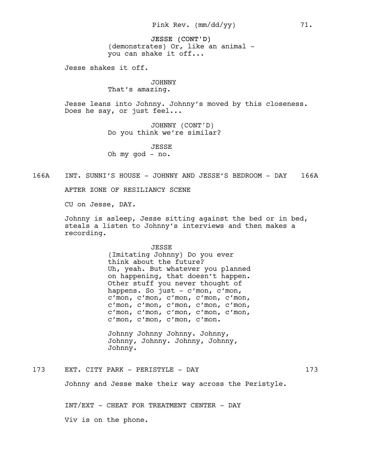JESSE (CONT'D) (demonstrates) Or, like an animal you can shake it off...

Jesse shakes it off.

### JOHNNY That's amazing.

Jesse leans into Johnny. Johnny's moved by this closeness. Does he say, or just feel...

> JOHNNY (CONT'D) Do you think we're similar?

JESSE Oh my god - no.

166A INT. SUNNI'S HOUSE - JOHNNY AND JESSE'S BEDROOM - DAY 166A

AFTER ZONE OF RESILIANCY SCENE

CU on Jesse, DAY.

Johnny is asleep, Jesse sitting against the bed or in bed, steals a listen to Johnny's interviews and then makes a recording.

#### JESSE

(Imitating Johnny) Do you ever think about the future? Uh, yeah. But whatever you planned on happening, that doesn't happen. Other stuff you never thought of happens. So just - c'mon, c'mon, c'mon, c'mon, c'mon, c'mon, c'mon, c'mon, c'mon, c'mon, c'mon, c'mon, c'mon, c'mon, c'mon, c'mon, c'mon, c'mon, c'mon, c'mon, c'mon.

Johnny Johnny Johnny. Johnny, Johnny, Johnny. Johnny, Johnny, Johnny.

173 EXT. CITY PARK - PERISTYLE - DAY 173

Johnny and Jesse make their way across the Peristyle.

INT/EXT - CHEAT FOR TREATMENT CENTER - DAY

Viv is on the phone.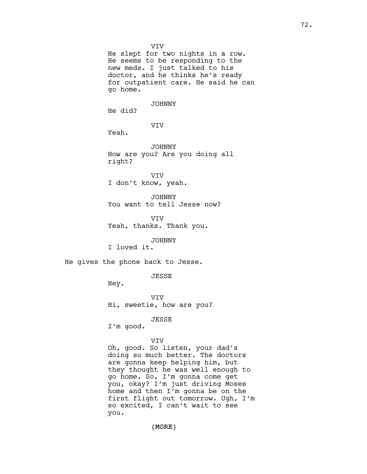VIV He slept for two nights in a row. He seems to be responding to the new meds. I just talked to his doctor, and he thinks he's ready for outpatient care. He said he can go home. JOHNNY He did? VIV Yeah. JOHNNY How are you? Are you doing all right? VIV I don't know, yeah. JOHNNY You want to tell Jesse now? VIV Yeah, thanks. Thank you.

JOHNNY I loved it.

He gives the phone back to Jesse.

JESSE

Hey.

VIV Hi, sweetie, how are you?

JESSE

I'm good.

### VIV

Oh, good. So listen, your dad's doing so much better. The doctors are gonna keep helping him, but they thought he was well enough to go home. So, I'm gonna come get you, okay? I'm just driving Moses home and then I'm gonna be on the first flight out tomorrow. Ugh, I'm so excited, I can't wait to see you.

(MORE)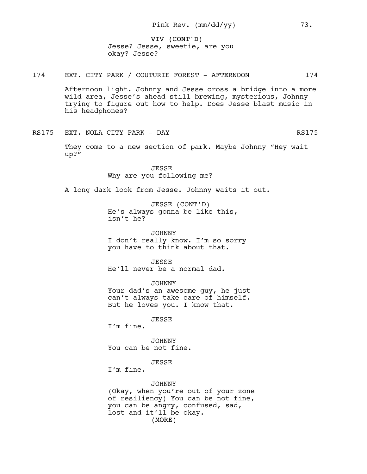VIV (CONT'D) Jesse? Jesse, sweetie, are you okay? Jesse?

# 174 EXT. CITY PARK / COUTURIE FOREST - AFTERNOON 174

Afternoon light. Johnny and Jesse cross a bridge into a more wild area, Jesse's ahead still brewing, mysterious, Johnny trying to figure out how to help. Does Jesse blast music in his headphones?

RS175 EXT. NOLA CITY PARK - DAY RS175

They come to a new section of park. Maybe Johnny "Hey wait up?"

> JESSE Why are you following me?

A long dark look from Jesse. Johnny waits it out.

JESSE (CONT'D) He's always gonna be like this, isn't he?

JOHNNY I don't really know. I'm so sorry you have to think about that.

**JESSE** He'll never be a normal dad.

JOHNNY Your dad's an awesome guy, he just can't always take care of himself. But he loves you. I know that.

JESSE

I'm fine.

JOHNNY You can be not fine.

JESSE

I'm fine.

JOHNNY

(MORE) (Okay, when you're out of your zone of resiliency) You can be not fine, you can be angry, confused, sad, lost and it'll be okay.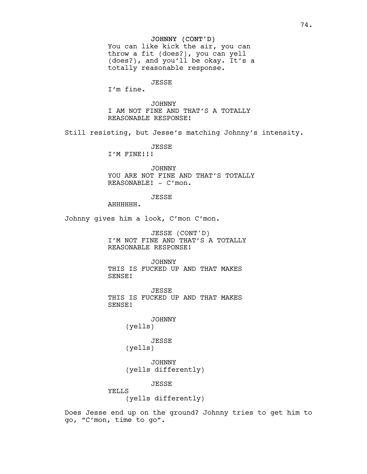### JOHNNY (CONT'D)

You can like kick the air, you can throw a fit (does?), you can yell (does?), and you'll be okay. It's a totally reasonable response.

### JESSE

I'm fine.

## JOHNNY

I AM NOT FINE AND THAT'S A TOTALLY REASONABLE RESPONSE!

Still resisting, but Jesse's matching Johnny's intensity.

JESSE

I'M FINE!!!

JOHNNY YOU ARE NOT FINE AND THAT'S TOTALLY REASONABLE! - C'mon.

## JESSE

AHHHHHH.

Johnny gives him a look, C'mon C'mon.

JESSE (CONT'D) I'M NOT FINE AND THAT'S A TOTALLY REASONABLE RESPONSE!

JOHNNY THIS IS FUCKED UP AND THAT MAKES SENSE!

JESSE THIS IS FUCKED UP AND THAT MAKES SENSE!

> JOHNNY (yells)

JESSE (yells)

JOHNNY (yells differently)

JESSE

YELLS

(yells differently)

Does Jesse end up on the ground? Johnny tries to get him to go, "C'mon, time to go".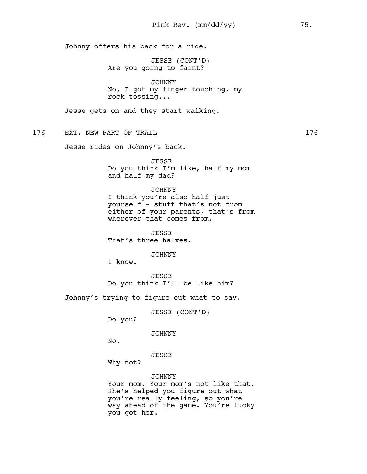Johnny offers his back for a ride.

JESSE (CONT'D) Are you going to faint?

JOHNNY No, I got my finger touching, my rock tossing...

Jesse gets on and they start walking.

176 EXT. NEW PART OF TRAIL 176 176

Jesse rides on Johnny's back.

JESSE Do you think I'm like, half my mom and half my dad?

#### JOHNNY

I think you're also half just yourself - stuff that's not from either of your parents, that's from wherever that comes from.

**JESSE** That's three halves.

JOHNNY

I know.

JESSE Do you think I'll be like him?

Johnny's trying to figure out what to say.

JESSE (CONT'D)

Do you?

JOHNNY

No.

JESSE

Why not?

JOHNNY

Your mom. Your mom's not like that. She's helped you figure out what you're really feeling, so you're way ahead of the game. You're lucky you got her.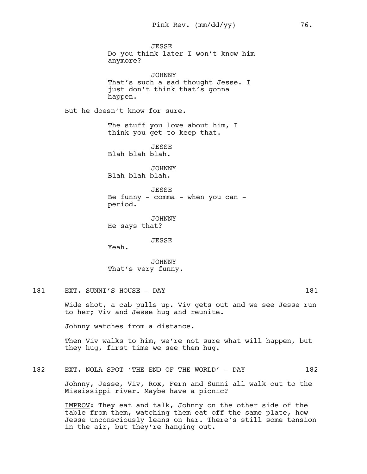**JESSE** Do you think later I won't know him anymore? JOHNNY That's such a sad thought Jesse. I just don't think that's gonna happen. But he doesn't know for sure. The stuff you love about him, I think you get to keep that. **JESSE** Blah blah blah. JOHNNY Blah blah blah. JESSE Be funny  $-$  comma  $-$  when you can  $$ period. JOHNNY He says that? JESSE Yeah. JOHNNY That's very funny.

181 EXT. SUNNI'S HOUSE - DAY 181

Wide shot, a cab pulls up. Viv gets out and we see Jesse run to her; Viv and Jesse hug and reunite.

Johnny watches from a distance.

Then Viv walks to him, we're not sure what will happen, but they hug, first time we see them hug.

182 EXT. NOLA SPOT 'THE END OF THE WORLD' - DAY 182

Johnny, Jesse, Viv, Rox, Fern and Sunni all walk out to the Mississippi river. Maybe have a picnic?

IMPROV: They eat and talk, Johnny on the other side of the table from them, watching them eat off the same plate, how Jesse unconsciously leans on her. There's still some tension in the air, but they're hanging out.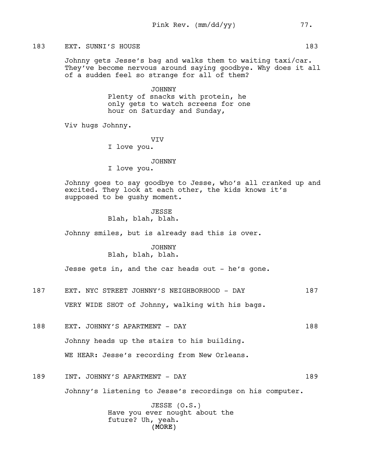## 183 EXT. SUNNI'S HOUSE 183

Johnny gets Jesse's bag and walks them to waiting taxi/car. They've become nervous around saying goodbye. Why does it all of a sudden feel so strange for all of them?

> JOHNNY Plenty of snacks with protein, he only gets to watch screens for one hour on Saturday and Sunday,

Viv hugs Johnny.

VIV

I love you.

#### JOHNNY

I love you.

Johnny goes to say goodbye to Jesse, who's all cranked up and excited. They look at each other, the kids knows it's supposed to be gushy moment.

> JESSE Blah, blah, blah.

Johnny smiles, but is already sad this is over.

# JOHNNY Blah, blah, blah.

Jesse gets in, and the car heads out - he's gone.

187 EXT. NYC STREET JOHNNY'S NEIGHBORHOOD - DAY 187

VERY WIDE SHOT of Johnny, walking with his bags.

- 188 EXT. JOHNNY'S APARTMENT DAY 188 Johnny heads up the stairs to his building. WE HEAR: Jesse's recording from New Orleans.
- 189 INT. JOHNNY'S APARTMENT DAY 189 Johnny's listening to Jesse's recordings on his computer.

(MORE) JESSE (O.S.) Have you ever nought about the future? Uh, yeah.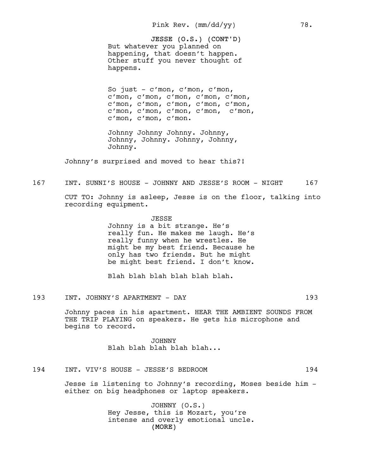JESSE (O.S.) (CONT'D) But whatever you planned on happening, that doesn't happen. Other stuff you never thought of happens.

So just - c'mon, c'mon, c'mon, c'mon, c'mon, c'mon, c'mon, c'mon, c'mon, c'mon, c'mon, c'mon, c'mon, c'mon, c'mon, c'mon, c'mon, c'mon, c'mon, c'mon, c'mon.

Johnny Johnny Johnny. Johnny, Johnny, Johnny. Johnny, Johnny, Johnny.

Johnny's surprised and moved to hear this?!

167 INT. SUNNI'S HOUSE - JOHNNY AND JESSE'S ROOM - NIGHT 167

CUT TO: Johnny is asleep, Jesse is on the floor, talking into recording equipment.

> JESSE Johnny is a bit strange. He's really fun. He makes me laugh. He's really funny when he wrestles. He might be my best friend. Because he only has two friends. But he might be might best friend. I don't know.

Blah blah blah blah blah blah.

193 INT. JOHNNY'S APARTMENT - DAY 193

Johnny paces in his apartment. HEAR THE AMBIENT SOUNDS FROM THE TRIP PLAYING on speakers. He gets his microphone and begins to record.

> JOHNNY Blah blah blah blah blah...

194 INT. VIV'S HOUSE - JESSE'S BEDROOM 194

Jesse is listening to Johnny's recording, Moses beside him either on big headphones or laptop speakers.

> (MORE) JOHNNY (O.S.) Hey Jesse, this is Mozart, you're intense and overly emotional uncle.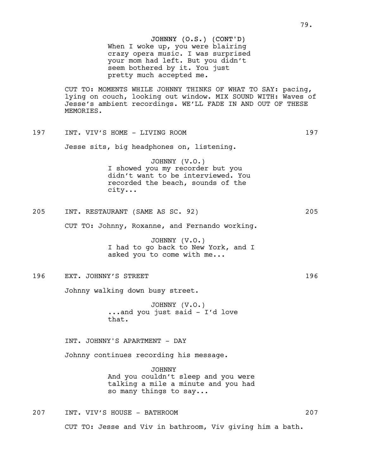CUT TO: MOMENTS WHILE JOHNNY THINKS OF WHAT TO SAY: pacing, lying on couch, looking out window. MIX SOUND WITH: Waves of Jesse's ambient recordings. WE'LL FADE IN AND OUT OF THESE MEMORIES.

197 INT. VIV'S HOME - LIVING ROOM 197

Jesse sits, big headphones on, listening.

JOHNNY (V.O.) I showed you my recorder but you didn't want to be interviewed. You recorded the beach, sounds of the city...

205 INT. RESTAURANT (SAME AS SC. 92) 205

CUT TO: Johnny, Roxanne, and Fernando working.

JOHNNY (V.O.) I had to go back to New York, and I asked you to come with me...

# 196 EXT. JOHNNY'S STREET 196 and the state of the state of the state of the state of the state of the state of the state of the state of the state of the state of the state of the state of the state of the state of the sta

Johnny walking down busy street.

JOHNNY (V.O.) ...and you just said - I'd love that.

INT. JOHNNY'S APARTMENT - DAY

Johnny continues recording his message.

JOHNNY And you couldn't sleep and you were talking a mile a minute and you had so many things to say...

207 INT. VIV'S HOUSE - BATHROOM 207 CUT TO: Jesse and Viv in bathroom, Viv giving him a bath.